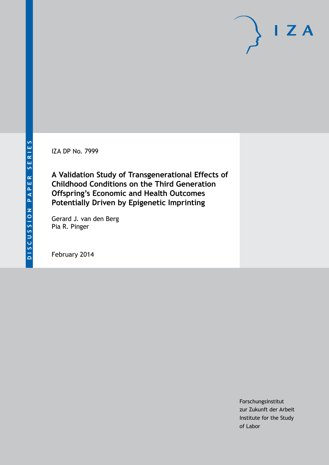IZA DP No. 7999

**A Validation Study of Transgenerational Effects of Childhood Conditions on the Third Generation Offspring's Economic and Health Outcomes Potentially Driven by Epigenetic Imprinting**

Gerard J. van den Berg Pia R. Pinger

February 2014

Forschungsinstitut zur Zukunft der Arbeit Institute for the Study of Labor

 $I Z A$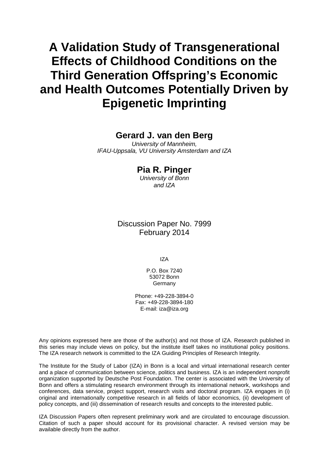# **A Validation Study of Transgenerational Effects of Childhood Conditions on the Third Generation Offspring's Economic and Health Outcomes Potentially Driven by Epigenetic Imprinting**

# **Gerard J. van den Berg**

*University of Mannheim, IFAU-Uppsala, VU University Amsterdam and IZA*

# **Pia R. Pinger**

*University of Bonn and IZA*

### Discussion Paper No. 7999 February 2014

IZA

P.O. Box 7240 53072 Bonn Germany

Phone: +49-228-3894-0 Fax: +49-228-3894-180 E-mail: [iza@iza.org](mailto:iza@iza.org)

Any opinions expressed here are those of the author(s) and not those of IZA. Research published in this series may include views on policy, but the institute itself takes no institutional policy positions. The IZA research network is committed to the IZA Guiding Principles of Research Integrity.

The Institute for the Study of Labor (IZA) in Bonn is a local and virtual international research center and a place of communication between science, politics and business. IZA is an independent nonprofit organization supported by Deutsche Post Foundation. The center is associated with the University of Bonn and offers a stimulating research environment through its international network, workshops and conferences, data service, project support, research visits and doctoral program. IZA engages in (i) original and internationally competitive research in all fields of labor economics, (ii) development of policy concepts, and (iii) dissemination of research results and concepts to the interested public.

<span id="page-1-0"></span>IZA Discussion Papers often represent preliminary work and are circulated to encourage discussion. Citation of such a paper should account for its provisional character. A revised version may be available directly from the author.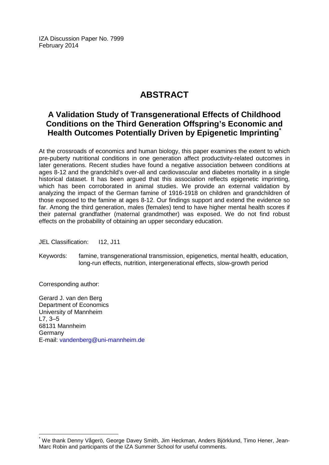IZA Discussion Paper No. 7999 February 2014

# **ABSTRACT**

# **A Validation Study of Transgenerational Effects of Childhood Conditions on the Third Generation Offspring's Economic and Health Outcomes Potentially Driven by Epigenetic Imprinting[\\*](#page-1-0)**

At the crossroads of economics and human biology, this paper examines the extent to which pre-puberty nutritional conditions in one generation affect productivity-related outcomes in later generations. Recent studies have found a negative association between conditions at ages 8-12 and the grandchild's over-all and cardiovascular and diabetes mortality in a single historical dataset. It has been argued that this association reflects epigenetic imprinting, which has been corroborated in animal studies. We provide an external validation by analyzing the impact of the German famine of 1916-1918 on children and grandchildren of those exposed to the famine at ages 8-12. Our findings support and extend the evidence so far. Among the third generation, males (females) tend to have higher mental health scores if their paternal grandfather (maternal grandmother) was exposed. We do not find robust effects on the probability of obtaining an upper secondary education.

JEL Classification: I12, J11

Keywords: famine, transgenerational transmission, epigenetics, mental health, education, long-run effects, nutrition, intergenerational effects, slow-growth period

Corresponding author:

Gerard J. van den Berg Department of Economics University of Mannheim L7, 3–5 68131 Mannheim Germany E-mail: [vandenberg@uni-mannheim.de](mailto:vandenberg@uni-mannheim.de)

\* We thank Denny Vågerö, George Davey Smith, Jim Heckman, Anders Björklund, Timo Hener, Jean-Marc Robin and participants of the IZA Summer School for useful comments.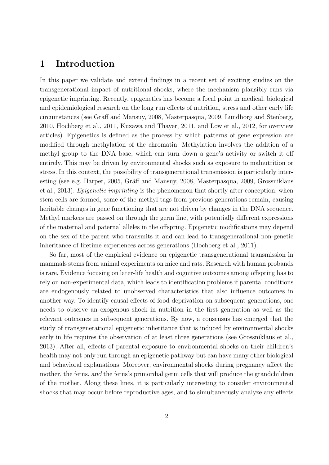## **1 Introduction**

In this paper we validate and extend findings in a recent set of exciting studies on the transgenerational impact of nutritional shocks, where the mechanism plausibly runs via epigenetic imprinting. Recently, epigenetics has become a focal point in medical, biological and epidemiological research on the long run effects of nutrition, stress and other early life circumstances (see Gräff and Mansuy, 2008, Masterpasqua, 2009, Lundborg and Stenberg, 2010, Hochberg et al., 2011, Kuzawa and Thayer, 2011, and Low et al., 2012, for overview articles). Epigenetics is defined as the process by which patterns of gene expression are modified through methylation of the chromatin. Methylation involves the addition of a methyl group to the DNA base, which can turn down a gene's activity or switch it off entirely. This may be driven by environmental shocks such as exposure to malnutrition or stress. In this context, the possibility of transgenerational transmission is particularly interesting (see e.g. Harper, 2005, Gräff and Mansuy, 2008, Masterpasqua, 2009, Grossniklaus et al., 2013). *Epigenetic imprinting* is the phenomenon that shortly after conception, when stem cells are formed, some of the methyl tags from previous generations remain, causing heritable changes in gene functioning that are not driven by changes in the DNA sequence. Methyl markers are passed on through the germ line, with potentially different expressions of the maternal and paternal alleles in the offspring. Epigenetic modifications may depend on the sex of the parent who transmits it and can lead to transgenerational non-genetic inheritance of lifetime experiences across generations (Hochberg et al., 2011).

So far, most of the empirical evidence on epigenetic transgenerational transmission in mammals stems from animal experiments on mice and rats. Research with human probands is rare. Evidence focusing on later-life health and cognitive outcomes among offspring has to rely on non-experimental data, which leads to identification problems if parental conditions are endogenously related to unobserved characteristics that also influence outcomes in another way. To identify causal effects of food deprivation on subsequent generations, one needs to observe an exogenous shock in nutrition in the first generation as well as the relevant outcomes in subsequent generations. By now, a consensus has emerged that the study of transgenerational epigenetic inheritance that is induced by environmental shocks early in life requires the observation of at least three generations (see Grossniklaus et al., 2013). After all, effects of parental exposure to environmental shocks on their children's health may not only run through an epigenetic pathway but can have many other biological and behavioral explanations. Moreover, environmental shocks during pregnancy affect the mother, the fetus, *and* the fetus's primordial germ cells that will produce the grandchildren of the mother. Along these lines, it is particularly interesting to consider environmental shocks that may occur before reproductive ages, and to simultaneously analyze any effects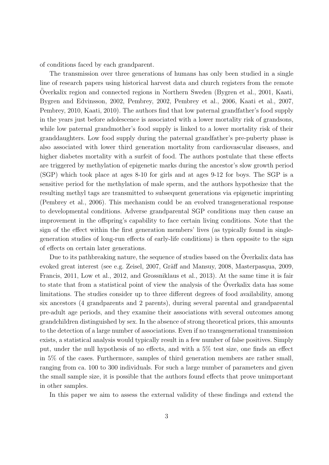of conditions faced by each grandparent.

The transmission over three generations of humans has only been studied in a single line of research papers using historical harvest data and church registers from the remote Overkalix region and connected regions in Northern Sweden (Bygren et al., 2001, Kaati, Bygren and Edvinsson, 2002, Pembrey, 2002, Pembrey et al., 2006, Kaati et al., 2007, Pembrey, 2010, Kaati, 2010). The authors find that low paternal grandfather's food supply in the years just before adolescence is associated with a lower mortality risk of grandsons, while low paternal grandmother's food supply is linked to a lower mortality risk of their granddaughters. Low food supply during the paternal grandfather's pre-puberty phase is also associated with lower third generation mortality from cardiovascular diseases, and higher diabetes mortality with a surfeit of food. The authors postulate that these effects are triggered by methylation of epigenetic marks during the ancestor's slow growth period (SGP) which took place at ages 8-10 for girls and at ages 9-12 for boys. The SGP is a sensitive period for the methylation of male sperm, and the authors hypothesize that the resulting methyl tags are transmitted to subsequent generations via epigenetic imprinting (Pembrey et al., 2006). This mechanism could be an evolved transgenerational response to developmental conditions. Adverse grandparental SGP conditions may then cause an improvement in the offspring's capability to face certain living conditions. Note that the sign of the effect within the first generation members' lives (as typically found in singlegeneration studies of long-run effects of early-life conditions) is then opposite to the sign of effects on certain later generations.

Due to its pathbreaking nature, the sequence of studies based on the Överkalix data has evoked great interest (see e.g. Zeisel, 2007, Gräff and Mansuy, 2008, Masterpasqua, 2009, Francis, 2011, Low et al., 2012, and Grossniklaus et al., 2013). At the same time it is fair to state that from a statistical point of view the analysis of the Overkalix data has some limitations. The studies consider up to three different degrees of food availability, among six ancestors (4 grandparents and 2 parents), during several parental and grandparental pre-adult age periods, and they examine their associations with several outcomes among grandchildren distinguished by sex. In the absence of strong theoretical priors, this amounts to the detection of a large number of associations. Even if no transgenerational transmission exists, a statistical analysis would typically result in a few number of false positives. Simply put, under the null hypothesis of no effects, and with a 5% test size, one finds an effect in 5% of the cases. Furthermore, samples of third generation members are rather small, ranging from ca. 100 to 300 individuals. For such a large number of parameters and given the small sample size, it is possible that the authors found effects that prove unimportant in other samples.

In this paper we aim to assess the external validity of these findings and extend the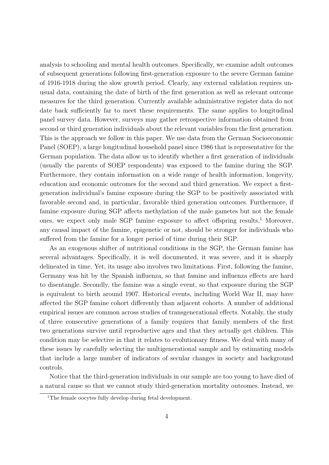analysis to schooling and mental health outcomes. Specifically, we examine adult outcomes of subsequent generations following first-generation exposure to the severe German famine of 1916-1918 during the slow growth period. Clearly, any external validation requires unusual data, containing the date of birth of the first generation as well as relevant outcome measures for the third generation. Currently available administrative register data do not date back sufficiently far to meet these requirements. The same applies to longitudinal panel survey data. However, surveys may gather retrospective information obtained from second or third generation individuals about the relevant variables from the first generation. This is the approach we follow in this paper. We use data from the German Socioeconomic Panel (SOEP), a large longitudinal household panel since 1986 that is representative for the German population. The data allow us to identify whether a first generation of individuals (usually the parents of SOEP respondents) was exposed to the famine during the SGP. Furthermore, they contain information on a wide range of health information, longevity, education and economic outcomes for the second and third generation. We expect a firstgeneration individual's famine exposure during the SGP to be positively associated with favorable second and, in particular, favorable third generation outcomes. Furthermore, if famine exposure during SGP affects methylation of the male gametes but not the female ones, we expect only male SGP famine exposure to affect offspring results.<sup>1</sup> Moreover, any causal impact of the famine, epigenetic or not, should be stronger for individuals who suffered from the famine for a longer period of time during their SGP.

As an exogenous shifter of nutritional conditions in the SGP, the German famine has several advantages. Specifically, it is well documented, it was severe, and it is sharply delineated in time. Yet, its usage also involves two limitations. First, following the famine, Germany was hit by the Spanish influenza, so that famine and influenza effects are hard to disentangle. Secondly, the famine was a single event, so that exposure during the SGP is equivalent to birth around 1907. Historical events, including World War II, may have affected the SGP famine cohort differently than adjacent cohorts. A number of additional empirical issues are common across studies of transgenerational effects. Notably, the study of three consecutive generations of a family requires that family members of the first two generations survive until reproductive ages and that they actually get children. This condition may be selective in that it relates to evolutionary fitness. We deal with many of these issues by carefully selecting the multigenerational sample and by estimating models that include a large number of indicators of secular changes in society and background controls.

Notice that the third-generation individuals in our sample are too young to have died of a natural cause so that we cannot study third-generation mortality outcomes. Instead, we

<sup>&</sup>lt;sup>1</sup>The female oocytes fully develop during fetal development.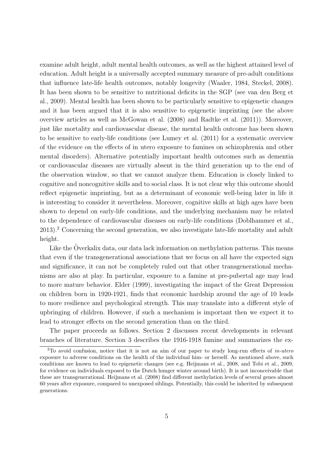examine adult height, adult mental health outcomes, as well as the highest attained level of education. Adult height is a universally accepted summary measure of pre-adult conditions that influence late-life health outcomes, notably longevity (Waaler, 1984, Steckel, 2008). It has been shown to be sensitive to nutritional deficits in the SGP (see van den Berg et al., 2009). Mental health has been shown to be particularly sensitive to epigenetic changes and it has been argued that it is also sensitive to epigenetic imprinting (see the above overview articles as well as McGowan et al. (2008) and Radtke et al. (2011)). Moreover, just like mortality and cardiovascular disease, the mental health outcome has been shown to be sensitive to early-life conditions (see Lumey et al. (2011) for a systematic overview of the evidence on the effects of in utero exposure to famines on schizophrenia and other mental disorders). Alternative potentially important health outcomes such as dementia or cardiovascular diseases are virtually absent in the third generation up to the end of the observation window, so that we cannot analyze them. Education is closely linked to cognitive and noncognitive skills and to social class. It is not clear why this outcome should reflect epigenetic imprinting, but as a determinant of economic well-being later in life it is interesting to consider it nevertheless. Moreover, cognitive skills at high ages have been shown to depend on early-life conditions, and the underlying mechanism may be related to the dependence of cardiovascular diseases on early-life conditions (Doblhammer et al., 2013).<sup>2</sup> Concerning the second generation, we also investigate late-life mortality and adult height.

Like the Överkalix data, our data lack information on methylation patterns. This means that even if the transgenerational associations that we focus on all have the expected sign and significance, it can not be completely ruled out that other transgenerational mechanisms are also at play. In particular, exposure to a famine at pre-pubertal age may lead to more mature behavior. Elder (1999), investigating the impact of the Great Depression on children born in 1920-1921, finds that economic hardship around the age of 10 leads to more resilience and psychological strength. This may translate into a different style of upbringing of children. However, if such a mechanism is important then we expect it to lead to stronger effects on the second generation than on the third.

The paper proceeds as follows. Section 2 discusses recent developments in relevant branches of literature. Section 3 describes the 1916-1918 famine and summarizes the ex-

<sup>2</sup>To avoid confusion, notice that it is not an aim of our paper to study long-run effects of *in-utero* exposure to adverse conditions on the health of the individual him- or herself. As mentioned above, such conditions are known to lead to epigenetic changes (see e.g. Heijmans et al., 2008, and Tobi et al., 2009, for evidence on individuals exposed to the Dutch hunger winter around birth). It is not inconceivable that these are transgenerational. Heijmans et al. (2008) find different methylation levels of several genes almost 60 years after exposure, compared to unexposed siblings. Potentially, this could be inherited by subsequent generations.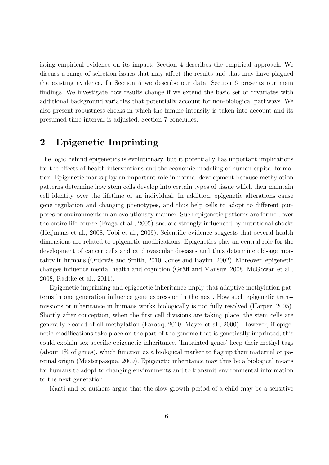isting empirical evidence on its impact. Section 4 describes the empirical approach. We discuss a range of selection issues that may affect the results and that may have plagued the existing evidence. In Section 5 we describe our data. Section 6 presents our main findings. We investigate how results change if we extend the basic set of covariates with additional background variables that potentially account for non-biological pathways. We also present robustness checks in which the famine intensity is taken into account and its presumed time interval is adjusted. Section 7 concludes.

# **2 Epigenetic Imprinting**

The logic behind epigenetics is evolutionary, but it potentially has important implications for the effects of health interventions and the economic modeling of human capital formation. Epigenetic marks play an important role in normal development because methylation patterns determine how stem cells develop into certain types of tissue which then maintain cell identity over the lifetime of an individual. In addition, epigenetic alterations cause gene regulation and changing phenotypes, and thus help cells to adopt to different purposes or environments in an evolutionary manner. Such epigenetic patterns are formed over the entire life-course (Fraga et al., 2005) and are strongly influenced by nutritional shocks (Heijmans et al., 2008, Tobi et al., 2009). Scientific evidence suggests that several health dimensions are related to epigenetic modifications. Epigenetics play an central role for the development of cancer cells and cardiovascular diseases and thus determine old-age mortality in humans (Ordovás and Smith, 2010, Jones and Baylin, 2002). Moreover, epigenetic changes influence mental health and cognition (Gräff and Mansuy, 2008, McGowan et al., 2008, Radtke et al., 2011).

Epigenetic imprinting and epigenetic inheritance imply that adaptive methylation patterns in one generation influence gene expression in the next. How such epigenetic transmissions or inheritance in humans works biologically is not fully resolved (Harper, 2005). Shortly after conception, when the first cell divisions are taking place, the stem cells are generally cleared of all methylation (Farooq, 2010, Mayer et al., 2000). However, if epigenetic modifications take place on the part of the genome that is genetically imprinted, this could explain sex-specific epigenetic inheritance. 'Imprinted genes' keep their methyl tags (about 1% of genes), which function as a biological marker to flag up their maternal or paternal origin (Masterpasqua, 2009). Epigenetic inheritance may thus be a biological means for humans to adopt to changing environments and to transmit environmental information to the next generation.

Kaati and co-authors argue that the slow growth period of a child may be a sensitive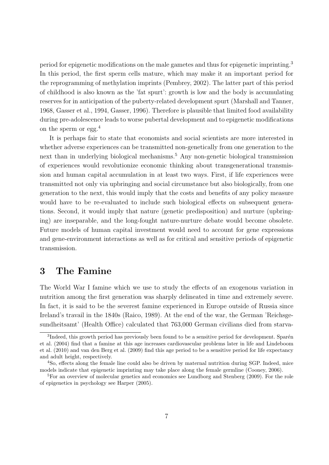period for epigenetic modifications on the male gametes and thus for epigenetic imprinting.<sup>3</sup> In this period, the first sperm cells mature, which may make it an important period for the reprogramming of methylation imprints (Pembrey, 2002). The latter part of this period of childhood is also known as the 'fat spurt': growth is low and the body is accumulating reserves for in anticipation of the puberty-related development spurt (Marshall and Tanner, 1968, Gasser et al., 1994, Gasser, 1996). Therefore is plausible that limited food availability during pre-adolescence leads to worse pubertal development and to epigenetic modifications on the sperm or egg. $^{4}$ 

It is perhaps fair to state that economists and social scientists are more interested in whether adverse experiences can be transmitted non-genetically from one generation to the next than in underlying biological mechanisms.<sup>5</sup> Any non-genetic biological transmission of experiences would revolutionize economic thinking about transgenerational transmission and human capital accumulation in at least two ways. First, if life experiences were transmitted not only via upbringing and social circumstance but also biologically, from one generation to the next, this would imply that the costs and benefits of any policy measure would have to be re-evaluated to include such biological effects on subsequent generations. Second, it would imply that nature (genetic predisposition) and nurture (upbringing) are inseparable, and the long-fought nature-nurture debate would become obsolete. Future models of human capital investment would need to account for gene expressions and gene-environment interactions as well as for critical and sensitive periods of epigenetic transmission.

# **3 The Famine**

The World War I famine which we use to study the effects of an exogenous variation in nutrition among the first generation was sharply delineated in time and extremely severe. In fact, it is said to be the severest famine experienced in Europe outside of Russia since Ireland's travail in the 1840s (Raico, 1989). At the end of the war, the German 'Reichsgesundheitsamt' (Health Office) calculated that 763,000 German civilians died from starva-

<sup>&</sup>lt;sup>3</sup>Indeed, this growth period has previously been found to be a sensitive period for development. Sparén et al. (2004) find that a famine at this age increases cardiovascular problems later in life and Lindeboom et al. (2010) and van den Berg et al. (2009) find this age period to be a sensitive period for life expectancy and adult height, respectively.

<sup>4</sup>So, effects along the female line could also be driven by maternal nutrition during SGP. Indeed, mice models indicate that epigenetic imprinting may take place along the female germline (Cooney, 2006).

<sup>&</sup>lt;sup>5</sup>For an overview of molecular genetics and economics see Lundborg and Stenberg (2009). For the role of epigenetics in psychology see Harper (2005).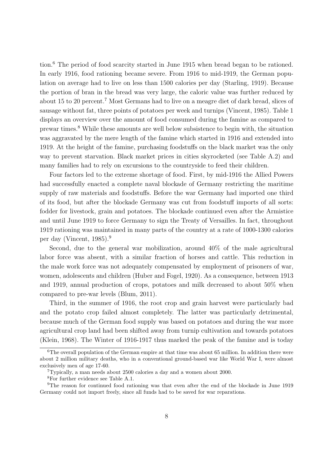tion.<sup>6</sup> The period of food scarcity started in June 1915 when bread began to be rationed. In early 1916, food rationing became severe. From 1916 to mid-1919, the German population on average had to live on less than 1500 calories per day (Starling, 1919). Because the portion of bran in the bread was very large, the caloric value was further reduced by about 15 to 20 percent.<sup>7</sup> Most Germans had to live on a meagre diet of dark bread, slices of sausage without fat, three points of potatoes per week and turnips (Vincent, 1985). Table 1 displays an overview over the amount of food consumed during the famine as compared to prewar times.<sup>8</sup> While these amounts are well below subsistence to begin with, the situation was aggravated by the mere length of the famine which started in 1916 and extended into 1919. At the height of the famine, purchasing foodstuffs on the black market was the only way to prevent starvation. Black market prices in cities skyrocketed (see Table A.2) and many families had to rely on excursions to the countryside to feed their children.

Four factors led to the extreme shortage of food. First, by mid-1916 the Allied Powers had successfully enacted a complete naval blockade of Germany restricting the maritime supply of raw materials and foodstuffs. Before the war Germany had imported one third of its food, but after the blockade Germany was cut from foodstuff imports of all sorts: fodder for livestock, grain and potatoes. The blockade continued even after the Armistice and until June 1919 to force Germany to sign the Treaty of Versailles. In fact, throughout 1919 rationing was maintained in many parts of the country at a rate of 1000-1300 calories per day (Vincent, 1985).<sup>9</sup>

Second, due to the general war mobilization, around 40% of the male agricultural labor force was absent, with a similar fraction of horses and cattle. This reduction in the male work force was not adequately compensated by employment of prisoners of war, women, adolescents and children (Huber and Fogel, 1920). As a consequence, between 1913 and 1919, annual production of crops, potatoes and milk decreased to about 50% when compared to pre-war levels (Blum, 2011).

Third, in the summer of 1916, the root crop and grain harvest were particularly bad and the potato crop failed almost completely. The latter was particularly detrimental, because much of the German food supply was based on potatoes and during the war more agricultural crop land had been shifted away from turnip cultivation and towards potatoes (Klein, 1968). The Winter of 1916-1917 thus marked the peak of the famine and is today

 $6$ The overall population of the German empire at that time was about 65 million. In addition there were about 2 million military deaths, who in a conventional ground-based war like World War I, were almost exclusively men of age 17-60.

<sup>7</sup>Typically, a man needs about 2500 calories a day and a women about 2000.

<sup>8</sup>For further evidence see Table A.1.

<sup>9</sup>The reason for continued food rationing was that even after the end of the blockade in June 1919 Germany could not import freely, since all funds had to be saved for war reparations.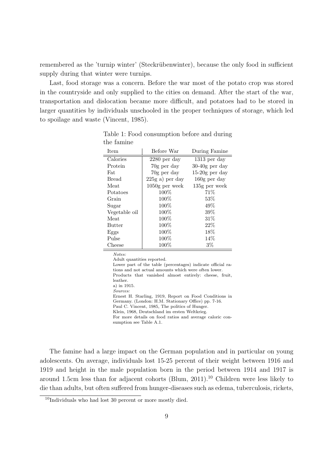remembered as the 'turnip winter' (Steckrübenwinter), because the only food in sufficient supply during that winter were turnips.

Last, food storage was a concern. Before the war most of the potato crop was stored in the countryside and only supplied to the cities on demand. After the start of the war, transportation and dislocation became more difficult, and potatoes had to be stored in larger quantities by individuals unschooled in the proper techniques of storage, which led to spoilage and waste (Vincent, 1985).

| Item          | Before War        | During Famine    |
|---------------|-------------------|------------------|
| Calories      | $2280$ per day    | $1313$ per day   |
| Protein       | 70g per day       | $30-40g$ per day |
| Fat           | 70g per day       | $15-20g$ per day |
| <b>Bread</b>  | $225g$ a) per day | $160g$ per day   |
| Meat          | $1050g$ per week  | 135g per week    |
| Potatoes      | $100\%$           | 71%              |
| Grain         | $100\%$           | $53\%$           |
| Sugar         | $100\%$           | 49\%             |
| Vegetable oil | $100\%$           | 39%              |
| Meat          | $100\%$           | $31\%$           |
| <b>Butter</b> | $100\%$           | 22%              |
| Eggs          | $100\%$           | $18\%$           |
| Pulse         | 100%              | 14%              |
| Cheese        | $100\%$           | $3\%$            |

Table 1: Food consumption before and during the famine

*Notes:*

Adult quantities reported. Lower part of the table (percentages) indicate official rations and not actual amounts which were often lower. Products that vanished almost entirely: cheese, fruit, leather. a) in 1915. *Sources:* Ernest H. Starling, 1919, Report on Food Conditions in Germany. (London: H.M. Stationary Office) pp. 7-16. Paul C. Vincent, 1985, The politics of Hunger. Klein, 1968, Deutschland im ersten Weltkrieg. For more details on food ratios and average caloric consumption see Table A.1.

The famine had a large impact on the German population and in particular on young adolescents. On average, individuals lost 15-25 percent of their weight between 1916 and 1919 and height in the male population born in the period between 1914 and 1917 is around 1.5cm less than for adjacent cohorts (Blum,  $2011$ ).<sup>10</sup> Children were less likely to die than adults, but often suffered from hunger-diseases such as edema, tuberculosis, rickets,

 $10$ Individuals who had lost 30 percent or more mostly died.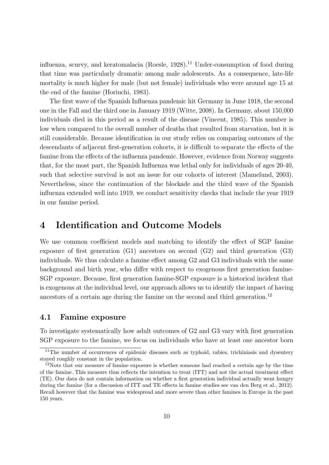influenza, scurvy, and keratomalacia (Roesle,  $1928$ ).<sup>11</sup> Under-consumption of food during that time was particularly dramatic among male adolescents. As a consequence, late-life mortality is much higher for male (but not female) individuals who were around age 15 at the end of the famine (Horiuchi, 1983).

The first wave of the Spanish Influenza pandemic hit Germany in June 1918, the second one in the Fall and the third one in January 1919 (Witte, 2008). In Germany, about 150,000 individuals died in this period as a result of the disease (Vincent, 1985). This number is low when compared to the overall number of deaths that resulted from starvation, but it is still considerable. Because identification in our study relies on comparing outcomes of the descendants of adjacent first-generation cohorts, it is difficult to separate the effects of the famine from the effects of the influenza pandemic. However, evidence from Norway suggests that, for the most part, the Spanish Influenza was lethal only for individuals of ages 20-40, such that selective survival is not an issue for our cohorts of interest (Mamelund, 2003). Nevertheless, since the continuation of the blockade and the third wave of the Spanish influenza extended well into 1919, we conduct sensitivity checks that include the year 1919 in our famine period.

# **4 Identification and Outcome Models**

We use common coefficient models and matching to identify the effect of SGP famine exposure of first generation (G1) ancestors on second (G2) and third generation (G3) individuals. We thus calculate a famine effect among G2 and G3 individuals with the same background and birth year, who differ with respect to exogenous first generation famine-SGP exposure. Because, first generation famine-SGP exposure is a historical incident that is exogenous at the individual level, our approach allows us to identify the impact of having ancestors of a certain age during the famine on the second and third generation.<sup>12</sup>

#### **4.1 Famine exposure**

To investigate systematically how adult outcomes of G2 and G3 vary with first generation SGP exposure to the famine, we focus on individuals who have at least one ancestor born

<sup>&</sup>lt;sup>11</sup>The number of occurrences of epidemic diseases such as typhoid, rabies, trichiniasis and dysentery stayed roughly constant in the population.

 $12$ Note that our measure of famine exposure is whether someone had reached a certain age by the time of the famine. This measure thus reflects the intention to treat (ITT) and not the actual treatment effect (TE). Our data do not contain information on whether a first generation individual actually went hungry during the famine (for a discussion of ITT and TE effects in famine studies see van den Berg et al., 2012). Recall however that the famine was widespread and more severe than other famines in Europe in the past 150 years.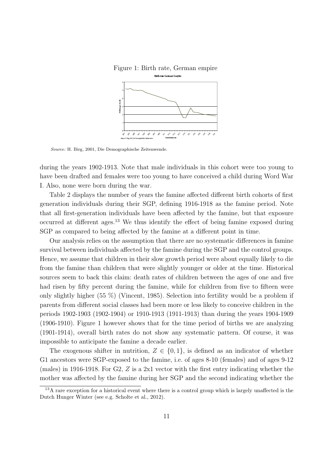

Figure 1: Birth rate, German empire

*Source:* H. Birg, 2001, Die Demographische Zeitenwende.

during the years 1902-1913. Note that male individuals in this cohort were too young to have been drafted and females were too young to have conceived a child during Word War I. Also, none were born during the war.

Table 2 displays the number of years the famine affected different birth cohorts of first generation individuals during their SGP, defining 1916-1918 as the famine period. Note that all first-generation individuals have been affected by the famine, but that exposure occurred at different ages.<sup>13</sup> We thus identify the effect of being famine exposed during SGP as compared to being affected by the famine at a different point in time.

Our analysis relies on the assumption that there are no systematic differences in famine survival between individuals affected by the famine during the SGP and the control groups. Hence, we assume that children in their slow growth period were about equally likely to die from the famine than children that were slightly younger or older at the time. Historical sources seem to back this claim: death rates of children between the ages of one and five had risen by fifty percent during the famine, while for children from five to fifteen were only slightly higher (55 %) (Vincent, 1985). Selection into fertility would be a problem if parents from different social classes had been more or less likely to conceive children in the periods 1902-1903 (1902-1904) or 1910-1913 (1911-1913) than during the years 1904-1909 (1906-1910). Figure 1 however shows that for the time period of births we are analyzing (1901-1914), overall birth rates do not show any systematic pattern. Of course, it was impossible to anticipate the famine a decade earlier.

The exogenous shifter in nutrition,  $Z \in \{0,1\}$ , is defined as an indicator of whether G1 ancestors were SGP-exposed to the famine, i.e. of ages 8-10 (females) and of ages 9-12 (males) in 1916-1918. For G2, *Z* is a 2x1 vector with the first entry indicating whether the mother was affected by the famine during her SGP and the second indicating whether the

<sup>&</sup>lt;sup>13</sup>A rare exception for a historical event where there is a control group which is largely unaffected is the Dutch Hunger Winter (see e.g. Scholte et al., 2012).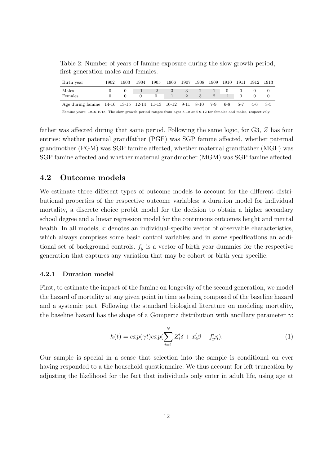Table 2: Number of years of famine exposure during the slow growth period, first generation males and females.

| Birth year                                                                                                          | 1902 | 1903 | 1904 | 1905          | 1906 | 1907   | 1908             | 1909 | 1910     | 1911    | 1912 | -1913 |
|---------------------------------------------------------------------------------------------------------------------|------|------|------|---------------|------|--------|------------------|------|----------|---------|------|-------|
| Males<br>Females                                                                                                    |      |      |      | 2<br>$\Omega$ | 3    | 3<br>2 | $2^{\circ}$<br>3 | 2    | $\theta$ |         |      |       |
| Age during famine 14-16 13-15 12-14 11-13 10-12 9-11 8-10                                                           |      |      |      |               |      |        |                  | 7-9  | 6-8      | $5 - 7$ | 4-6  | $3-5$ |
| Famine years: 1916-1918. The slow growth period ranges from ages 8-10 and 9-12 for females and males, respectively. |      |      |      |               |      |        |                  |      |          |         |      |       |

father was affected during that same period. Following the same logic, for G3, *Z* has four entries: whether paternal grandfather (PGF) was SGP famine affected, whether paternal grandmother (PGM) was SGP famine affected, whether maternal grandfather (MGF) was SGP famine affected and whether maternal grandmother (MGM) was SGP famine affected.

#### **4.2 Outcome models**

We estimate three different types of outcome models to account for the different distributional properties of the respective outcome variables: a duration model for individual mortality, a discrete choice probit model for the decision to obtain a higher secondary school degree and a linear regression model for the continuous outcomes height and mental health. In all models, x denotes an individual-specific vector of observable characteristics, which always comprises some basic control variables and in some specifications an additional set of background controls. *f<sup>y</sup>* is a vector of birth year dummies for the respective generation that captures any variation that may be cohort or birth year specific.

#### **4.2.1 Duration model**

First, to estimate the impact of the famine on longevity of the second generation, we model the hazard of mortality at any given point in time as being composed of the baseline hazard and a systemic part. Following the standard biological literature on modeling mortality, the baseline hazard has the shape of a Gompertz distribution with ancillary parameter *γ*:

$$
h(t) = exp(\gamma t) exp(\sum_{i=1}^{N} Z_i' \delta + x_i' \beta + f_y' \eta).
$$
\n(1)

Our sample is special in a sense that selection into the sample is conditional on ever having responded to a the household questionnaire. We thus account for left truncation by adjusting the likelihood for the fact that individuals only enter in adult life, using age at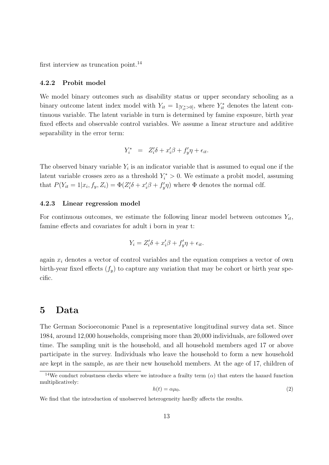first interview as truncation point.<sup>14</sup>

#### **4.2.2 Probit model**

We model binary outcomes such as disability status or upper secondary schooling as a binary outcome latent index model with  $Y_{it} = 1_{[Y_{it}^* > 0]}$ , where  $Y_{it}^*$  denotes the latent continuous variable. The latent variable in turn is determined by famine exposure, birth year fixed effects and observable control variables. We assume a linear structure and additive separability in the error term:

$$
Y_i^* = Z_i' \delta + x_i' \beta + f_y' \eta + \epsilon_{it}.
$$

The observed binary variable  $Y_i$  is an indicator variable that is assumed to equal one if the latent variable crosses zero as a threshold  $Y_i^* > 0$ . We estimate a probit model, assuming that  $P(Y_{it} = 1 | x_i, f_y, Z_i) = \Phi(Z_i' \delta + x_i' \beta + f_y' \eta)$  where  $\Phi$  denotes the normal cdf.

#### **4.2.3 Linear regression model**

For continuous outcomes, we estimate the following linear model between outcomes  $Y_{it}$ , famine effects and covariates for adult i born in year t:

$$
Y_i = Z_i' \delta + x_i' \beta + f_y' \eta + \epsilon_{it}.
$$

again  $x_i$  denotes a vector of control variables and the equation comprises a vector of own birth-year fixed effects  $(f_y)$  to capture any variation that may be cohort or birth year specific.

### **5 Data**

The German Socioeconomic Panel is a representative longitudinal survey data set. Since 1984, around 12,000 households, comprising more than 20,000 individuals, are followed over time. The sampling unit is the household, and all household members aged 17 or above participate in the survey. Individuals who leave the household to form a new household are kept in the sample, as are their new household members. At the age of 17, children of

$$
h(t) = \alpha \mu_0. \tag{2}
$$

<sup>&</sup>lt;sup>14</sup>We conduct robustness checks where we introduce a frailty term  $\alpha$ ) that enters the hazard function multiplicatively:

We find that the introduction of unobserved heterogeneity hardly affects the results.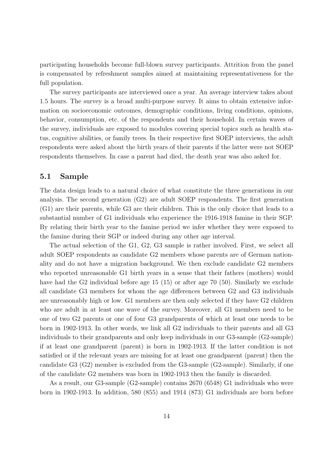participating households become full-blown survey participants. Attrition from the panel is compensated by refreshment samples aimed at maintaining representativeness for the full population.

The survey participants are interviewed once a year. An average interview takes about 1.5 hours. The survey is a broad multi-purpose survey. It aims to obtain extensive information on socioeconomic outcomes, demographic conditions, living conditions, opinions, behavior, consumption, etc. of the respondents and their household. In certain waves of the survey, individuals are exposed to modules covering special topics such as health status, cognitive abilities, or family trees. In their respective first SOEP interviews, the adult respondents were asked about the birth years of their parents if the latter were not SOEP respondents themselves. In case a parent had died, the death year was also asked for.

#### **5.1 Sample**

The data design leads to a natural choice of what constitute the three generations in our analysis. The second generation (G2) are adult SOEP respondents. The first generation (G1) are their parents, while G3 are their children. This is the only choice that leads to a substantial number of G1 individuals who experience the 1916-1918 famine in their SGP. By relating their birth year to the famine period we infer whether they were exposed to the famine during their SGP or indeed during any other age interval.

The actual selection of the G1, G2, G3 sample is rather involved. First, we select all adult SOEP respondents as candidate G2 members whose parents are of German nationality and do not have a migration background. We then exclude candidate G2 members who reported unreasonable G1 birth years in a sense that their fathers (mothers) would have had the G2 individual before age 15 (15) or after age 70 (50). Similarly we exclude all candidate G3 members for whom the age differences between G2 and G3 individuals are unreasonably high or low. G1 members are then only selected if they have G2 children who are adult in at least one wave of the survey. Moreover, all G1 members need to be one of two G2 parents or one of four G3 grandparents of which at least one needs to be born in 1902-1913. In other words, we link all G2 individuals to their parents and all G3 individuals to their grandparents and only keep individuals in our G3-sample (G2-sample) if at least one grandparent (parent) is born in 1902-1913. If the latter condition is not satisfied or if the relevant years are missing for at least one grandparent (parent) then the candidate G3 (G2) member is excluded from the G3-sample (G2-sample). Similarly, if one of the candidate G2 members was born in 1902-1913 then the family is discarded.

As a result, our G3-sample (G2-sample) contains 2670 (6548) G1 individuals who were born in 1902-1913. In addition, 580 (855) and 1914 (873) G1 individuals are born before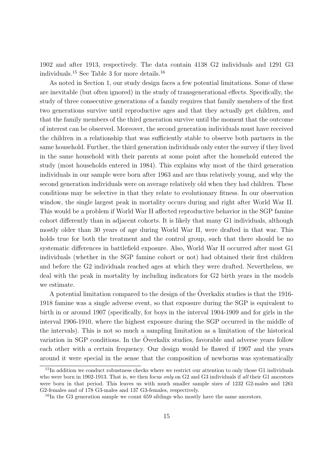1902 and after 1913, respectively. The data contain 4138 G2 individuals and 1291 G3 individuals.<sup>15</sup> See Table 3 for more details.<sup>16</sup>

As noted in Section 1, our study design faces a few potential limitations. Some of these are inevitable (but often ignored) in the study of transgenerational effects. Specifically, the study of three consecutive generations of a family requires that family members of the first two generations survive until reproductive ages and that they actually get children, and that the family members of the third generation survive until the moment that the outcome of interest can be observed. Moreover, the second generation individuals must have received the children in a relationship that was sufficiently stable to observe both partners in the same household. Further, the third generation individuals only enter the survey if they lived in the same household with their parents at some point after the household entered the study (most households entered in 1984). This explains why most of the third generation individuals in our sample were born after 1963 and are thus relatively young, and why the second generation individuals were on average relatively old when they had children. These conditions may be selective in that they relate to evolutionary fitness. In our observation window, the single largest peak in mortality occurs during and right after World War II. This would be a problem if World War II affected reproductive behavior in the SGP famine cohort differently than in adjacent cohorts. It is likely that many G1 individuals, although mostly older than 30 years of age during World War II, were drafted in that war. This holds true for both the treatment and the control group, such that there should be no systematic differences in battlefield exposure. Also, World War II occurred after most G1 individuals (whether in the SGP famine cohort or not) had obtained their first children and before the G2 individuals reached ages at which they were drafted. Nevertheless, we deal with the peak in mortality by including indicators for G2 birth years in the models we estimate.

A potential limitation compared to the design of the Överkalix studies is that the 1916-1918 famine was a single adverse event, so that exposure during the SGP is equivalent to birth in or around 1907 (specifically, for boys in the interval 1904-1909 and for girls in the interval 1906-1910, where the highest exposure during the SGP occurred in the middle of the intervals). This is not so much a sampling limitation as a limitation of the historical variation in SGP conditions. In the Overkalix studies, favorable and adverse years follow each other with a certain frequency. Our design would be flawed if 1907 and the years around it were special in the sense that the composition of newborns was systematically

<sup>&</sup>lt;sup>15</sup>In addition we conduct robustness checks where we restrict our attention to only those G1 individuals who were born in 1902-1913. That is, we then focus *only* on G2 and G3 individuals if *all* their G1 ancestors were born in that period. This leaves us with much smaller sample sizes of 1232 G2-males and 1261 G2-females and of 178 G3-males and 137 G3-females, respectively.

<sup>&</sup>lt;sup>16</sup>In the G3 generation sample we count 659 siblings who mostly have the same ancestors.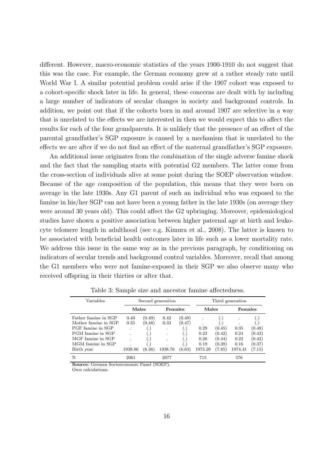different. However, macro-economic statistics of the years 1900-1910 do not suggest that this was the case. For example, the German economy grew at a rather steady rate until World War I. A similar potential problem could arise if the 1907 cohort was exposed to a cohort-specific shock later in life. In general, these concerns are dealt with by including a large number of indicators of secular changes in society and background controls. In addition, we point out that if the cohorts born in and around 1907 are selective in a way that is unrelated to the effects we are interested in then we would expect this to affect the results for each of the four grandparents. It is unlikely that the presence of an effect of the parental grandfather's SGP exposure is caused by a mechanism that is unrelated to the effects we are after if we do not find an effect of the maternal grandfather's SGP exposure.

An additional issue originates from the combination of the single adverse famine shock and the fact that the sampling starts with potential G2 members. The latter come from the cross-section of individuals alive at some point during the SOEP observation window. Because of the age composition of the population, this means that they were born on average in the late 1930s. Any G1 parent of such an individual who was exposed to the famine in his/her SGP can not have been a young father in the late 1930s (on average they were around 30 years old). This could affect the G2 upbringing. Moreover, epidemiological studies have shown a positive association between higher paternal age at birth and leukocyte telomere length in adulthood (see e.g. Kimura et al., 2008). The latter is known to be associated with beneficial health outcomes later in life such as a lower mortality rate. We address this issue in the same way as in the previous paragraph, by conditioning on indicators of secular trends and background control variables. Moreover, recall that among the G1 members who were not famine-exposed in their SGP we also observe many who received offspring in their thirties or after that.

| Variables            |         |                      | Second generation |                      |         |                | Third generation |           |
|----------------------|---------|----------------------|-------------------|----------------------|---------|----------------|------------------|-----------|
|                      | Males   |                      | Females           |                      | Males   |                | Females          |           |
| Father famine in SGP | 0.40    | (0.49)               | 0.42              | (0.49)               |         | $\cdot$ )      |                  | $\bullet$ |
| Mother famine in SGP | 0.35    | (0.48)               | 0.33              | (0.47)               |         | $\blacksquare$ |                  | $\cdot$   |
| PGF famine in SGP    | ٠       | $\ddot{\phantom{0}}$ | ٠                 | $\cdot$              | 0.29    | (0.45)         | 0.35             | (0.48)    |
| PGM famine in SGP    |         | ا د                  |                   | $\cdot$ .            | 0.23    | (0.42)         | 0.24             | (0.43)    |
| MGF famine in SGP    |         | $\ddot{\phantom{0}}$ |                   | $\ddot{\phantom{a}}$ | 0.26    | (0.44)         | 0.22             | (0.42)    |
| MGM famine in SGP    | ٠       | $\bullet$            | $\cdot$           | $\cdot$              | 0.19    | (0.39)         | 0.16             | (0.37)    |
| Birth year           | 1938.86 | (6.36)               | 1938.76           | (6.63)               | 1973.20 | (7.85)         | 1974.41          | (7.15)    |
| N                    | 2061    |                      | 2077              |                      | 715     |                | 576              |           |

Table 3: Sample size and ancestor famine affectedness.

**Source**: German Socioeconomic Panel (SOEP).

Own calculations.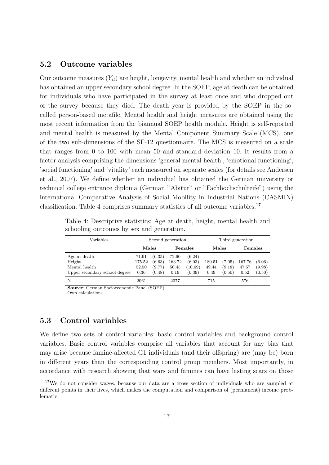#### **5.2 Outcome variables**

Our outcome measures (*Yit*) are height, longevity, mental health and whether an individual has obtained an upper secondary school degree. In the SOEP, age at death can be obtained for individuals who have participated in the survey at least once and who dropped out of the survey because they died. The death year is provided by the SOEP in the socalled person-based metafile. Mental health and height measures are obtained using the most recent information from the biannual SOEP health module. Height is self-reported and mental health is measured by the Mental Component Summary Scale (MCS), one of the two sub-dimensions of the SF-12 questionnaire. The MCS is measured on a scale that ranges from 0 to 100 with mean 50 and standard deviation 10. It results from a factor analysis comprising the dimensions 'general mental health', 'emotional functioning', 'social functioning' and 'vitality' each measured on separate scales (for details see Andersen et al., 2007). We define whether an individual has obtained the German university or technical college entrance diploma (German "Abitur" or "Fachhochschulreife") using the international Comparative Analysis of Social Mobility in Industrial Nations (CASMIN) classification. Table 4 comprises summary statistics of all outcome variables.<sup>17</sup>

| Variables                     |        |        | Second generation |         |        |        | Third generation |        |
|-------------------------------|--------|--------|-------------------|---------|--------|--------|------------------|--------|
|                               | Males  |        |                   | Females | Males  |        | Females          |        |
| Age at death                  | 71.91  | (6.35) | 72.90             | (6.24)  |        |        |                  |        |
| Height                        | 175.52 | (6.63) | 163.72            | (6.03)  | 180.51 | (7.05) | 167.76           | (6.06) |
| Mental health                 | 52.50  | (9.77) | 50.45             | (10.69) | 49.44  | (9.18) | 47.57            | (9.98) |
| Upper secondary school degree | 0.36   | (0.48) | 0.19              | (0.39)  | 0.49   | (0.50) | 0.52             | (0.50) |
| N                             | 2061   |        | 2077              |         | 715    |        | 576              |        |

Table 4: Descriptive statistics: Age at death, height, mental health and schooling outcomes by sex and generation.

**Source**: German Socioeconomic Panel (SOEP).

Own calculations.

#### **5.3 Control variables**

We define two sets of control variables: basic control variables and background control variables. Basic control variables comprise all variables that account for any bias that may arise because famine-affected G1 individuals (and their offspring) are (may be) born in different years than the corresponding control group members. Most importantly, in accordance with research showing that wars and famines can have lasting scars on those

<sup>&</sup>lt;sup>17</sup>We do not consider wages, because our data are a cross section of individuals who are sampled at different points in their lives, which makes the computation and comparison of (permanent) income problematic.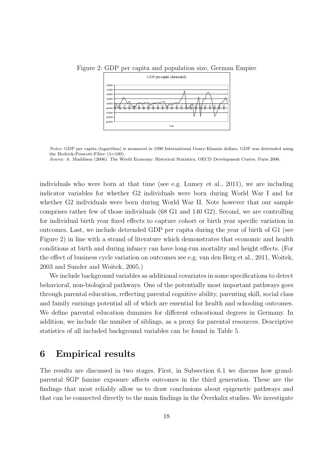

Figure 2: GDP per capita and population size, German Empire

individuals who were born at that time (see e.g. Lumey et al., 2011), we are including indicator variables for whether G2 individuals were born during World War I and for whether G2 individuals were born during World War II. Note however that our sample comprises rather few of those individuals (68 G1 and 140 G2). Second, we are controlling for individual birth year fixed effects to capture cohort or birth year specific variation in outcomes. Last, we include detrended GDP per capita during the year of birth of G1 (see Figure 2) in line with a strand of literature which demonstrates that economic and health conditions at birth and during infancy can have long-run mortality and height effects. (For the effect of business cycle variation on outcomes see e.g. van den Berg et al., 2011, Woitek, 2003 and Sunder and Woitek, 2005.)

We include background variables as additional covariates in some specifications to detect behavioral, non-biological pathways. One of the potentially most important pathways goes through parental education, reflecting parental cognitive ability, parenting skill, social class and family earnings potential all of which are essential for health and schooling outcomes. We define parental education dummies for different educational degrees in Germany. In addition, we include the number of siblings, as a proxy for parental resources. Descriptive statistics of all included background variables can be found in Table 5.

# **6 Empirical results**

The results are discussed in two stages. First, in Subsection 6.1 we discuss how grandparental SGP famine exposure affects outcomes in the third generation. These are the findings that most reliably allow us to draw conclusions about epigenetic pathways and that can be connected directly to the main findings in the Overkalix studies. We investigate

*Notes:* GDP per capita (logarithm) is measured in 1990 International Geary-Khamis dollars. GDP was detrended using the Hodrick-Prescott-Filter  $(\lambda=100)$ .

*Source:* A. Maddison (2006). The World Economy: Historical Statistics, OECD Development Centre, Paris 2006.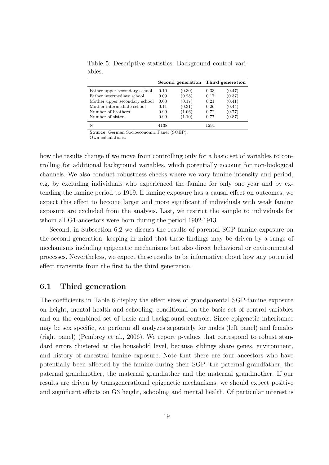|                               |      | Second generation Third generation |      |        |
|-------------------------------|------|------------------------------------|------|--------|
| Father upper secondary school | 0.10 | (0.30)                             | 0.33 | (0.47) |
| Father intermediate school    | 0.09 | (0.28)                             | 0.17 | (0.37) |
| Mother upper secondary school | 0.03 | (0.17)                             | 0.21 | (0.41) |
| Mother intermediate school    | 0.11 | (0.31)                             | 0.26 | (0.44) |
| Number of brothers            | 0.99 | (1.06)                             | 0.72 | (0.77) |
| Number of sisters             | 0.99 | (1.10)                             | 0.77 | (0.87) |
| N                             | 4138 |                                    | 1291 |        |

Table 5: Descriptive statistics: Background control variables.

**Source**: German Socioeconomic Panel (SOEP).

Own calculations.

how the results change if we move from controlling only for a basic set of variables to controlling for additional background variables, which potentially account for non-biological channels. We also conduct robustness checks where we vary famine intensity and period, e.g. by excluding individuals who experienced the famine for only one year and by extending the famine period to 1919. If famine exposure has a causal effect on outcomes, we expect this effect to become larger and more significant if individuals with weak famine exposure are excluded from the analysis. Last, we restrict the sample to individuals for whom all G1-ancestors were born during the period 1902-1913.

Second, in Subsection 6.2 we discuss the results of parental SGP famine exposure on the second generation, keeping in mind that these findings may be driven by a range of mechanisms including epigenetic mechanisms but also direct behavioral or environmental processes. Nevertheless, we expect these results to be informative about how any potential effect transmits from the first to the third generation.

#### **6.1 Third generation**

The coefficients in Table 6 display the effect sizes of grandparental SGP-famine exposure on height, mental health and schooling, conditional on the basic set of control variables and on the combined set of basic and background controls. Since epigenetic inheritance may be sex specific, we perform all analyzes separately for males (left panel) and females (right panel) (Pembrey et al., 2006). We report p-values that correspond to robust standard errors clustered at the household level, because siblings share genes, environment, and history of ancestral famine exposure. Note that there are four ancestors who have potentially been affected by the famine during their SGP: the paternal grandfather, the paternal grandmother, the maternal grandfather and the maternal grandmother. If our results are driven by transgenerational epigenetic mechanisms, we should expect positive and significant effects on G3 height, schooling and mental health. Of particular interest is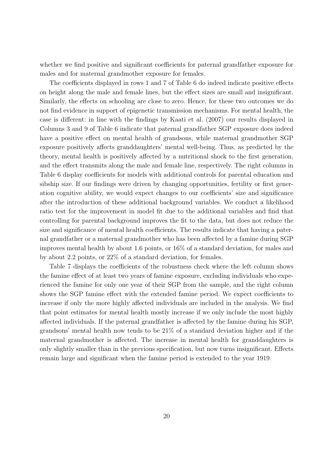whether we find positive and significant coefficients for paternal grandfather exposure for males and for maternal grandmother exposure for females.

The coefficients displayed in rows 1 and 7 of Table 6 do indeed indicate positive effects on height along the male and female lines, but the effect sizes are small and insignificant. Similarly, the effects on schooling are close to zero. Hence, for these two outcomes we do not find evidence in support of epigenetic transmission mechanisms. For mental health, the case is different: in line with the findings by Kaati et al. (2007) our results displayed in Columns 3 and 9 of Table 6 indicate that paternal grandfather SGP exposure does indeed have a positive effect on mental health of grandsons, while maternal grandmother SGP exposure positively affects granddaughters' mental well-being. Thus, as predicted by the theory, mental health is positively affected by a nutritional shock to the first generation, and the effect transmits along the male and female line, respectively. The right columns in Table 6 display coefficients for models with additional controls for parental education and sibship size. If our findings were driven by changing opportunities, fertility or first generation cognitive ability, we would expect changes to our coefficients' size and significance after the introduction of these additional background variables. We conduct a likelihood ratio test for the improvement in model fit due to the additional variables and find that controlling for parental background improves the fit to the data, but does not reduce the size and significance of mental health coefficients. The results indicate that having a paternal grandfather or a maternal grandmother who has been affected by a famine during SGP improves mental health by about 1.6 points, or 16% of a standard deviation, for males and by about 2.2 points, or 22% of a standard deviation, for females.

Table 7 displays the coefficients of the robustness check where the left column shows the famine effect of at least two years of famine exposure, excluding individuals who experienced the famine for only one year of their SGP from the sample, and the right column shows the SGP famine effect with the extended famine period. We expect coefficients to increase if only the more highly affected individuals are included in the analysis. We find that point estimates for mental health mostly increase if we only include the most highly affected individuals. If the paternal grandfather is affected by the famine during his SGP, grandsons' mental health now tends to be 21% of a standard deviation higher and if the maternal grandmother is affected. The increase in mental health for granddaughters is only slightly smaller than in the previous specification, but now turns insignificant. Effects remain large and significant when the famine period is extended to the year 1919.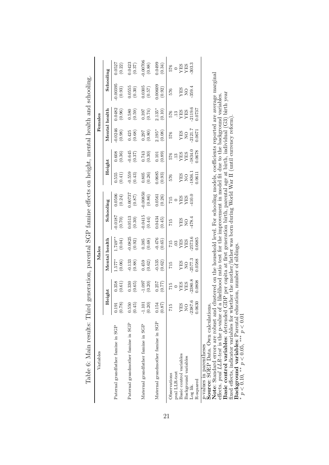| Variables                                                          |                     |                                                                         |                                                                            | Males                                                                             |                                                 |                                                                                                                                                                                                                                                                                                                                    |                                                           |                                                                    |                       | Females                                                                        | Вширин на называющей в предлагает на середина на открытия на открытия на середина на середина в предлагает на с |                                                                                                                               |
|--------------------------------------------------------------------|---------------------|-------------------------------------------------------------------------|----------------------------------------------------------------------------|-----------------------------------------------------------------------------------|-------------------------------------------------|------------------------------------------------------------------------------------------------------------------------------------------------------------------------------------------------------------------------------------------------------------------------------------------------------------------------------------|-----------------------------------------------------------|--------------------------------------------------------------------|-----------------------|--------------------------------------------------------------------------------|-----------------------------------------------------------------------------------------------------------------|-------------------------------------------------------------------------------------------------------------------------------|
|                                                                    |                     |                                                                         | Mental                                                                     | health                                                                            |                                                 | Schooling                                                                                                                                                                                                                                                                                                                          | Height                                                    |                                                                    | Mental                | health                                                                         | Schooling                                                                                                       |                                                                                                                               |
|                                                                    |                     | eight                                                                   |                                                                            |                                                                                   |                                                 |                                                                                                                                                                                                                                                                                                                                    |                                                           |                                                                    |                       |                                                                                |                                                                                                                 |                                                                                                                               |
| Paternal grandfather famine in SGP                                 | 0.191<br>(0.78)     | (0.358)                                                                 | $1.577$ *<br>(0.06)                                                        | $1.749**$<br>(0.04)                                                               | (0.01)                                          | (0.0506)                                                                                                                                                                                                                                                                                                                           | 0.555                                                     | (0.36)<br>0.608                                                    | 0.0246<br>(0.98)      | 0.0482<br>(0.96)                                                               | 0.00395<br>(0.93)                                                                                               |                                                                                                                               |
| Paternal grandmother famine in SGP                                 | 0.550<br>(0.45)     | (0.330)                                                                 | $-0.133$<br>$(0.88)$                                                       | $-0.0825$<br>$(0.92)$                                                             | $\begin{array}{c} 0.0513 \\ (0.30) \end{array}$ |                                                                                                                                                                                                                                                                                                                                    | $\begin{array}{c} (0.41) \\ -0.559 \\ (0.43) \end{array}$ |                                                                    | (0.425)               |                                                                                |                                                                                                                 |                                                                                                                               |
| Maternal grandfather famine in SGP                                 | $-1.101$<br>(0.20)  | (0.20)                                                                  | (0.459)                                                                    | $0.385\newline(0.68)$                                                             | $\begin{array}{c} 0.0415 \\ (0.44) \end{array}$ | $\begin{array}{c} (98.0) \\ (18.0) \\ (18.0) \\ (28.0) \\ (18.0) \\ (28.0) \\ (18.0) \\ (28.0) \\ (38.0) \\ (48.0) \\ (58.0) \\ (68.0) \\ (78.0) \\ (88.0) \\ (98.0) \\ (18.0) \\ (18.0) \\ (28.0) \\ (28.0) \\ (38.0) \\ (48.0) \\ (58.0) \\ (28.0) \\ (28.0) \\ (28.0) \\ (28.0) \\ (28.0) \\ (28.0) \\ (28.0) \\ (28.0) \\ (28$ | (0.805)                                                   | $\begin{array}{c} -0.645 \\ (0.37) \\ 0.743 \\ (0.30) \end{array}$ | $0.297\t\t(0.80)$     | $\begin{array}{c} (61.58) \\ (62.0) \\ (63.0) \\ (65.0) \\ \end{array}$        | $\begin{array}{c} 0.0555 \\ (0.30) \\ 0.0305 \\ (0.57) \end{array}$                                             | $\begin{array}{l} (0.0527 \\ (0.22) \\ (0.0423 \\ (0.37) \\ (0.37) \\ (0.0706 \\ (0.88) \\ (0.0499 \\ (0.0499 \\ \end{array}$ |
| Maternal grandmother famine in SGP                                 | 0.154<br>(0.87)     | (0.77)                                                                  | $-0.535$<br>(0.62)                                                         | $-0.476$<br>$(0.65)$                                                              | (0.434)                                         | $\frac{(0.0561)}{(0.26)}$                                                                                                                                                                                                                                                                                                          | $\begin{array}{c} 0.0685 \\ (0.93) \end{array}$           | (0.101)                                                            | $2.195*$<br>(0.08)    | $2.135*$<br>(0.10)                                                             | $0.00609$<br>$(0.92)$                                                                                           |                                                                                                                               |
| pval LLR-test<br>Observations                                      | 715                 | $\begin{array}{c} 15 \\ 15 \\ 25 \\ 15 \\ 21 \\ 5 \\ 17 \\ \end{array}$ | 715                                                                        |                                                                                   | 715                                             | $\begin{array}{c} 0.017\\ 854\\ 845\\ 212\\ 412\\ 412\\ \end{array}$                                                                                                                                                                                                                                                               | 576                                                       | $576 \newline 13$                                                  | 576                   |                                                                                | 576                                                                                                             | $\begin{array}{c} 576 \\ \text{O} \\ \text{YES} \\ \text{YES} \\ \text{SOS} \\ \text{303.3} \end{array}$                      |
| Basic control variables                                            | <b>XES</b>          |                                                                         |                                                                            |                                                                                   |                                                 |                                                                                                                                                                                                                                                                                                                                    |                                                           |                                                                    |                       |                                                                                |                                                                                                                 |                                                                                                                               |
| Background variables                                               | $\overline{S}$      |                                                                         |                                                                            |                                                                                   | <b>ON</b><br>SHA                                |                                                                                                                                                                                                                                                                                                                                    | <b>ON</b><br>SHA                                          | <b>YES</b><br>YES                                                  | <b>ONN</b>            |                                                                                | YES<br>NO<br>359.4                                                                                              |                                                                                                                               |
| R-squared<br>Log lik.                                              | $-2387.6$<br>0.0630 | 2380.8<br>0.0808                                                        | $\begin{array}{c} \text{YES} \\ \text{NO} \\ 2577.3 \\ 0.0588 \end{array}$ | $\begin{array}{c} 715 \\ 03 \\ \text{YES} \\ \text{XES} \\ 0.0685 \\ \end{array}$ | 478.4                                           |                                                                                                                                                                                                                                                                                                                                    | 1836.1<br>0.0611                                          | 1834.0<br>0.0678                                                   | $-2121.7$<br>$0.0671$ | $\frac{576}{13}$<br>$\frac{13}{YES}$<br>$\frac{95}{19.6}$<br>$\frac{13}{19.6}$ |                                                                                                                 |                                                                                                                               |
| Source: SOEP Data. Own calculations.<br>$p$ -values in parentheses |                     |                                                                         |                                                                            |                                                                                   |                                                 |                                                                                                                                                                                                                                                                                                                                    |                                                           |                                                                    |                       |                                                                                |                                                                                                                 |                                                                                                                               |

Table 6: Main results: Third generation, parental SGP famine effects on height, mental health and schooling. Table 6: Main results: Third generation, parental SGP famine effects on height, mental health and schooling.

**Note**: Standard errors are robust and clustered on the household level. For schooling models, coefficients reported are average marginal effects. *pval LLR-test* is the p-value of a likelihood ratio test for the improvement in model fit due to the background variables. **Basic control variables**: detrended GDP per capita at first generation birth, parental age at birth, individual (G3) birth year Note: Standard errors are robust and clustered on the household level. For schooling models, coefficients reported are average marginal effects. *poal LLR-test* is the p-value of a likelihood ratio test for the improvemen

fixed effects, indicator variables for whether the mother/father was born during World War II (until currency reform). **Background variables**: Parental education, number of siblings.

*p <* 0*.*10, *∗∗ p <* 0*.*05, *∗∗∗ p <* 0*.*01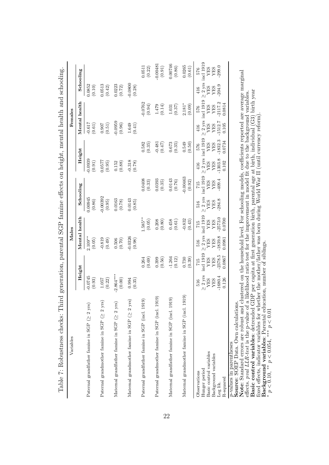| Table 7: Robustness checks:                                                                                                                                                                                                                                                                                                            | Third generation, parental SGP famine effects on height, mental health and schooling.        |                                                       |                                                                 |                                                              |                                                   |                                                 |                                                |                                                                        |                                                                    |                                                    |                                   |                                                                |
|----------------------------------------------------------------------------------------------------------------------------------------------------------------------------------------------------------------------------------------------------------------------------------------------------------------------------------------|----------------------------------------------------------------------------------------------|-------------------------------------------------------|-----------------------------------------------------------------|--------------------------------------------------------------|---------------------------------------------------|-------------------------------------------------|------------------------------------------------|------------------------------------------------------------------------|--------------------------------------------------------------------|----------------------------------------------------|-----------------------------------|----------------------------------------------------------------|
| Variables                                                                                                                                                                                                                                                                                                                              |                                                                                              |                                                       | Males                                                           |                                                              |                                                   |                                                 |                                                |                                                                        |                                                                    | Females                                            |                                   |                                                                |
|                                                                                                                                                                                                                                                                                                                                        | Height                                                                                       |                                                       | Mental health                                                   |                                                              |                                                   | Schooling                                       |                                                | Height                                                                 |                                                                    | Mental health                                      |                                   | Schooling                                                      |
| Paternal grandfather famine in SGP $( \geq 2 \text{ yrs})$                                                                                                                                                                                                                                                                             | $-0.0745$<br>(0.93)                                                                          |                                                       | $2.109**$<br>(0.05)                                             |                                                              | 0.00945<br>(0.86)                                 |                                                 | $-0.0939$<br>(0.91)                            |                                                                        | $-0.617$<br>$(0.61)$                                               |                                                    | 0.0852<br>(0.10)                  |                                                                |
| yrs)<br>Paternal grand<br>mother famine in SGP ( $\geq 2$                                                                                                                                                                                                                                                                              | (0.22)<br>1.057                                                                              |                                                       | $-0.819$<br>(0.49)                                              |                                                              | $-0.00392$<br>(0.95)                              |                                                 | 0.0577<br>(0.95)                               |                                                                        | (15.0)                                                             |                                                    | (0.0513)                          |                                                                |
| yrs)<br>Maternal grandfather famine in SGP ( $\geq 2$                                                                                                                                                                                                                                                                                  | $2.864***$<br>(0.00)                                                                         |                                                       | 0.506<br>(0.70)                                                 |                                                              | 0.0163<br>(0.78)                                  |                                                 | 0.152<br>(0.88)                                |                                                                        | $-0.0959$<br>$(0.96)\,$                                            |                                                    | 0.0223<br>(0.72)                  |                                                                |
| Maternal grandmother famine in SGP ( $\geq 2$ yrs)                                                                                                                                                                                                                                                                                     | 0.994<br>(0.35)                                                                              |                                                       | $-0.0326$<br>(0.98)                                             |                                                              | 0.0143<br>(0.85)                                  |                                                 | $-0.318$<br>(0.78)                             |                                                                        | 1.649<br>(0.41)                                                    |                                                    | $-0.0800$<br>(0.28)               |                                                                |
| 1919)<br>Paternal grandfather famine in SGP (incl.                                                                                                                                                                                                                                                                                     |                                                                                              | $\!0.264\!$<br>(0.69)                                 |                                                                 | $.585**$<br>(0.05)                                           |                                                   | 0.0408<br>(0.33)                                |                                                | 0.582<br>(0.35)                                                        |                                                                    | $-0.0762$<br>(0.94)                                |                                   | 0.0511<br>$\left(0.22\right)$                                  |
| 1919)<br>Paternal grandmother famine in SGP (incl.                                                                                                                                                                                                                                                                                     |                                                                                              | 0.399<br>(0.56)                                       |                                                                 | (0.208)                                                      |                                                   | 0.0393<br>(0.35)                                |                                                | $-0.481$<br>(0.47)                                                     |                                                                    | (0.14)                                             |                                   | $-0.0048$<br>$\left( 0.91\right)$                              |
| 1919)<br>Maternal grandfather famine in SGP (incl.                                                                                                                                                                                                                                                                                     |                                                                                              | $-1.264$<br>(0.12)                                    |                                                                 | 0.458<br>(0.61)                                              |                                                   | 0.0143<br>(0.76)                                |                                                | 0.673<br>(0.35)                                                        |                                                                    | (0.37)<br>1.031                                    |                                   | 0.00746<br>(0.86)                                              |
| Maternal grandmother famine in SGP (incl. 1919)                                                                                                                                                                                                                                                                                        |                                                                                              | 0.730<br>(0.39)                                       |                                                                 | $-0.832$<br>(0.43)                                           |                                                   | $-0.00463$<br>(0.92)                            |                                                | 0.549<br>(0.50)                                                        |                                                                    | $2.181*$<br>(0.09)                                 |                                   | 0.0265<br>(0.61)                                               |
| Note: Standard errors are robust and clustered on the household level. For schooling models, coefficients reported are average marginal<br><i>p</i> -values in parentheses<br><b>Source</b> : SOEP Data. Own calculations<br>Basic control variables<br>Background variables<br>Hunger period<br>Observations<br>R-squared<br>Log lik. | $\geq 2$ yrs<br>$-1680.4$<br><b>SHA</b><br>0.126<br>YES<br>516                               | incl 1919<br>$-2378.5$<br>0.0867<br>YES<br>YES<br>715 | $\geq 2$ yrs<br>$-1839.8$<br>0.0981<br><b>SHA</b><br>YES<br>516 | incl 1919<br>$-2573.0$<br>0.0700<br><b>YES</b><br>YES<br>715 | $\geq 2$ yrs<br>284.8<br><b>AES</b><br>YES<br>516 | incl 1919<br>409.4<br><b>YES<br/>YES</b><br>715 | $-1303.8$<br>0.102<br><b>XES</b><br>YES<br>416 | $\geq 2$ yrs incl 1919<br>1832.3<br>0.0734<br><b>AEZ</b><br>YES<br>576 | $\geq 2$ yrs<br>1512.7<br>0.105<br><b>XES</b><br><b>AES</b><br>416 | incl 1919<br>2117.2<br>0.0814<br>YES<br>YES<br>576 | 204.9<br><b>SHA</b><br>YES<br>416 | $\geq 2$ yrs incl 1919<br>.299.0<br><b>YES<br/>YES</b><br>92.9 |
| effects. pool LLR-test is the p-value                                                                                                                                                                                                                                                                                                  | of a likelihood ratio test for the improvement in model fit due to the background variables. |                                                       |                                                                 |                                                              |                                                   |                                                 |                                                |                                                                        |                                                                    |                                                    |                                   |                                                                |

22

effects. *pval LLR-test* is the p-value of a likelihood ratio test for the improvement in model fit due to the background variables. **Basic control variables**: detrended GDP per capita at first generation birth, parental age at birth, individual (G3) birth year fixed effects, indicator variables for whether the mother/father was born during World War II (until currency reform). **Background variables**: Parental education, number of siblings. **Basic control variables:** deteraded GDP per capita at first generation birth, parental age at birth, individual (G3) birth year  $* p < 0.10$ ,  $* p < 0.054$ ,  $* p < 0.01$  and  $* p < 0.01$  and  $* p < 0.01$  and  $* p < 0.01$  and  $* p < 0.$ 

*p <* 0*.*10, *∗∗ p <* 0*.*054, *∗∗∗ p <* 0*.*01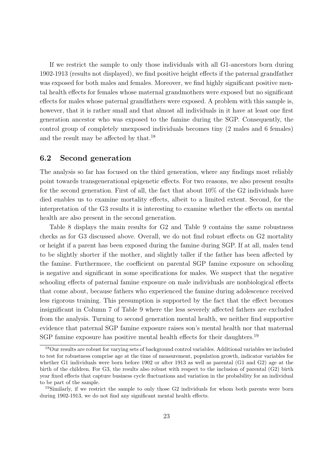If we restrict the sample to only those individuals with all G1-ancestors born during 1902-1913 (results not displayed), we find positive height effects if the paternal grandfather was exposed for both males and females. Moreover, we find highly significant positive mental health effects for females whose maternal grandmothers were exposed but no significant effects for males whose paternal grandfathers were exposed. A problem with this sample is, however, that it is rather small and that almost all individuals in it have at least one first generation ancestor who was exposed to the famine during the SGP. Consequently, the control group of completely unexposed individuals becomes tiny (2 males and 6 females) and the result may be affected by that.<sup>18</sup>

#### **6.2 Second generation**

The analysis so far has focused on the third generation, where any findings most reliably point towards transgenerational epigenetic effects. For two reasons, we also present results for the second generation. First of all, the fact that about 10% of the G2 individuals have died enables us to examine mortality effects, albeit to a limited extent. Second, for the interpretation of the G3 results it is interesting to examine whether the effects on mental health are also present in the second generation.

Table 8 displays the main results for G2 and Table 9 contains the same robustness checks as for G3 discussed above. Overall, we do not find robust effects on G2 mortality or height if a parent has been exposed during the famine during SGP. If at all, males tend to be slightly shorter if the mother, and slightly taller if the father has been affected by the famine. Furthermore, the coefficient on parental SGP famine exposure on schooling is negative and significant in some specifications for males. We suspect that the negative schooling effects of paternal famine exposure on male individuals are nonbiological effects that come about, because fathers who experienced the famine during adolescence received less rigorous training. This presumption is supported by the fact that the effect becomes insignificant in Column 7 of Table 9 where the less severely affected fathers are excluded from the analysis. Turning to second generation mental health, we neither find supportive evidence that paternal SGP famine exposure raises son's mental health nor that maternal SGP famine exposure has positive mental health effects for their daughters.<sup>19</sup>

<sup>18</sup>Our results are robust for varying sets of background control variables. Additional variables we included to test for robustness comprise age at the time of measurement, population growth, indicator variables for whether G1 individuals were born before 1902 or after 1913 as well as parental (G1 and G2) age at the birth of the children. For G3, the results also robust with respect to the inclusion of parental (G2) birth year fixed effects that capture business cycle fluctuations and variation in the probability for an individual to be part of the sample.

<sup>&</sup>lt;sup>19</sup>Similarly, if we restrict the sample to only those G2 individuals for whom both parents were born during 1902-1913, we do not find any significant mental health effects.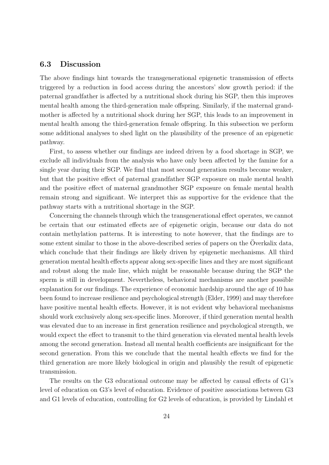#### **6.3 Discussion**

The above findings hint towards the transgenerational epigenetic transmission of effects triggered by a reduction in food access during the ancestors' slow growth period: if the paternal grandfather is affected by a nutritional shock during his SGP, then this improves mental health among the third-generation male offspring. Similarly, if the maternal grandmother is affected by a nutritional shock during her SGP, this leads to an improvement in mental health among the third-generation female offspring. In this subsection we perform some additional analyses to shed light on the plausibility of the presence of an epigenetic pathway.

First, to assess whether our findings are indeed driven by a food shortage in SGP, we exclude all individuals from the analysis who have only been affected by the famine for a single year during their SGP. We find that most second generation results become weaker, but that the positive effect of paternal grandfather SGP exposure on male mental health and the positive effect of maternal grandmother SGP exposure on female mental health remain strong and significant. We interpret this as supportive for the evidence that the pathway starts with a nutritional shortage in the SGP.

Concerning the channels through which the transgenerational effect operates, we cannot be certain that our estimated effects are of epigenetic origin, because our data do not contain methylation patterns. It is interesting to note however, that the findings are to some extent similar to those in the above-described series of papers on the Överkalix data, which conclude that their findings are likely driven by epigenetic mechanisms. All third generation mental health effects appear along sex-specific lines and they are most significant and robust along the male line, which might be reasonable because during the SGP the sperm is still in development. Nevertheless, behavioral mechanisms are another possible explanation for our findings. The experience of economic hardship around the age of 10 has been found to increase resilience and psychological strength (Elder, 1999) and may therefore have positive mental health effects. However, it is not evident why behavioral mechanisms should work exclusively along sex-specific lines. Moreover, if third generation mental health was elevated due to an increase in first generation resilience and psychological strength, we would expect the effect to transmit to the third generation via elevated mental health levels among the second generation. Instead all mental health coefficients are insignificant for the second generation. From this we conclude that the mental health effects we find for the third generation are more likely biological in origin and plausibly the result of epigenetic transmission.

The results on the G3 educational outcome may be affected by causal effects of G1's level of education on G3's level of education. Evidence of positive associations between G3 and G1 levels of education, controlling for G2 levels of education, is provided by Lindahl et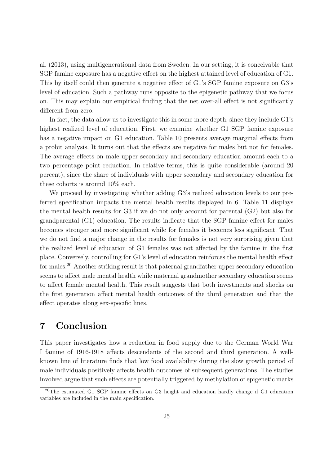al. (2013), using multigenerational data from Sweden. In our setting, it is conceivable that SGP famine exposure has a negative effect on the highest attained level of education of G1. This by itself could then generate a negative effect of G1's SGP famine exposure on G3's level of education. Such a pathway runs opposite to the epigenetic pathway that we focus on. This may explain our empirical finding that the net over-all effect is not significantly different from zero.

In fact, the data allow us to investigate this in some more depth, since they include G1's highest realized level of education. First, we examine whether G1 SGP famine exposure has a negative impact on G1 education. Table 10 presents average marginal effects from a probit analysis. It turns out that the effects are negative for males but not for females. The average effects on male upper secondary and secondary education amount each to a two percentage point reduction. In relative terms, this is quite considerable (around 20 percent), since the share of individuals with upper secondary and secondary education for these cohorts is around 10% each.

We proceed by investigating whether adding G3's realized education levels to our preferred specification impacts the mental health results displayed in 6. Table 11 displays the mental health results for G3 if we do not only account for parental (G2) but also for grandparental (G1) education. The results indicate that the SGP famine effect for males becomes stronger and more significant while for females it becomes less significant. That we do not find a major change in the results for females is not very surprising given that the realized level of education of G1 females was not affected by the famine in the first place. Conversely, controlling for G1's level of education reinforces the mental health effect for males.<sup>20</sup> Another striking result is that paternal grandfather upper secondary education seems to affect male mental health while maternal grandmother secondary education seems to affect female mental health. This result suggests that both investments and shocks on the first generation affect mental health outcomes of the third generation and that the effect operates along sex-specific lines.

# **7 Conclusion**

This paper investigates how a reduction in food supply due to the German World War I famine of 1916-1918 affects descendants of the second and third generation. A wellknown line of literature finds that low food availability during the slow growth period of male individuals positively affects health outcomes of subsequent generations. The studies involved argue that such effects are potentially triggered by methylation of epigenetic marks

<sup>20</sup>The estimated G1 SGP famine effects on G3 height and education hardly change if G1 education variables are included in the main specification.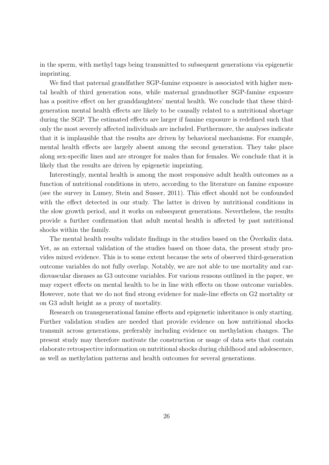in the sperm, with methyl tags being transmitted to subsequent generations via epigenetic imprinting.

We find that paternal grandfather SGP-famine exposure is associated with higher mental health of third generation sons, while maternal grandmother SGP-famine exposure has a positive effect on her granddaughters' mental health. We conclude that these thirdgeneration mental health effects are likely to be causally related to a nutritional shortage during the SGP. The estimated effects are larger if famine exposure is redefined such that only the most severely affected individuals are included. Furthermore, the analyses indicate that it is implausible that the results are driven by behavioral mechanisms. For example, mental health effects are largely absent among the second generation. They take place along sex-specific lines and are stronger for males than for females. We conclude that it is likely that the results are driven by epigenetic imprinting.

Interestingly, mental health is among the most responsive adult health outcomes as a function of nutritional conditions in utero, according to the literature on famine exposure (see the survey in Lumey, Stein and Susser, 2011). This effect should not be confounded with the effect detected in our study. The latter is driven by nutritional conditions in the slow growth period, and it works on subsequent generations. Nevertheless, the results provide a further confirmation that adult mental health is affected by past nutritional shocks within the family.

The mental health results validate findings in the studies based on the Overkalix data. Yet, as an external validation of the studies based on those data, the present study provides mixed evidence. This is to some extent because the sets of observed third-generation outcome variables do not fully overlap. Notably, we are not able to use mortality and cardiovascular diseases as G3 outcome variables. For various reasons outlined in the paper, we may expect effects on mental health to be in line with effects on those outcome variables. However, note that we do not find strong evidence for male-line effects on G2 mortality or on G3 adult height as a proxy of mortality.

Research on transgenerational famine effects and epigenetic inheritance is only starting. Further validation studies are needed that provide evidence on how nutritional shocks transmit across generations, preferably including evidence on methylation changes. The present study may therefore motivate the construction or usage of data sets that contain elaborate retrospective information on nutritional shocks during childhood and adolescence, as well as methylation patterns and health outcomes for several generations.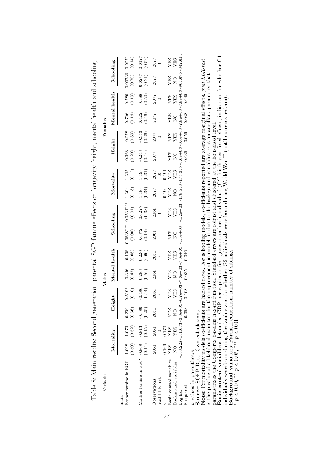|                    | Males                                                                                                                         |                               |                                                                                                                                |                               |                                    |                    | Females            |                          |                                  |                     |                                                                                                                                                                                                                                                                                                                                                                                                                                                      |
|--------------------|-------------------------------------------------------------------------------------------------------------------------------|-------------------------------|--------------------------------------------------------------------------------------------------------------------------------|-------------------------------|------------------------------------|--------------------|--------------------|--------------------------|----------------------------------|---------------------|------------------------------------------------------------------------------------------------------------------------------------------------------------------------------------------------------------------------------------------------------------------------------------------------------------------------------------------------------------------------------------------------------------------------------------------------------|
| Height             | Mental health                                                                                                                 | Schooling                     |                                                                                                                                | Mortality                     |                                    | Height             |                    |                          | Mental health                    | Schooling           |                                                                                                                                                                                                                                                                                                                                                                                                                                                      |
| $0.519*$<br>(0.10) | $-0.346$<br>(0.47)                                                                                                            | (0.00)                        |                                                                                                                                | 1.304<br>$\left( 0.13\right)$ | $1.315$<br>(0.12)                  | (0.20)             | $-0.278$<br>(0.33) | 0.726<br>(0.16)          | 0.780<br>(0.13)                  | (0.70)              | (0.14)                                                                                                                                                                                                                                                                                                                                                                                                                                               |
| (0.14)<br>$-0.496$ | (0.59)<br>0.283                                                                                                               | 0.372<br>(0.14)               | 0.0225<br>(0.33)                                                                                                               | (0.34)<br>1.188               | (0.31)<br>1.198                    | (0.44)<br>$-0.243$ | $-0.356$           | (0.46)<br>0.422          | (0.50)<br>0.388                  | 0.0277              | 0.0127<br>(0.52)                                                                                                                                                                                                                                                                                                                                                                                                                                     |
| 2061               | 2061<br>2061                                                                                                                  | 2061                          | 2061                                                                                                                           | 2077                          | 2077                               | 2077               | 2077               | 2077                     | 2077                             | 2077                | 2077                                                                                                                                                                                                                                                                                                                                                                                                                                                 |
|                    |                                                                                                                               |                               |                                                                                                                                | 0.190                         | 1.91                               |                    |                    |                          |                                  |                     |                                                                                                                                                                                                                                                                                                                                                                                                                                                      |
| <b>SHA</b>         | <b>XES</b><br><b>AES</b>                                                                                                      | YES                           | <b>ATES</b>                                                                                                                    | <b>XES</b>                    | <b>SHA</b>                         | <b>AES</b>         | <b>AES</b>         | YES                      |                                  | <b>AES</b>          | YES<br><b>SHA</b>                                                                                                                                                                                                                                                                                                                                                                                                                                    |
|                    |                                                                                                                               |                               |                                                                                                                                |                               |                                    |                    |                    |                          |                                  |                     |                                                                                                                                                                                                                                                                                                                                                                                                                                                      |
|                    | 0.046<br>0.035                                                                                                                |                               |                                                                                                                                |                               |                                    |                    |                    | 0.038                    | 0.045                            |                     |                                                                                                                                                                                                                                                                                                                                                                                                                                                      |
|                    |                                                                                                                               |                               |                                                                                                                                |                               |                                    |                    |                    |                          |                                  |                     |                                                                                                                                                                                                                                                                                                                                                                                                                                                      |
|                    | YES<br>$-0.390$<br>0.290<br>(0.25)<br>0.068<br>(0.36)<br>YES<br>Source: SOEP Data. Own calculations.<br>2061<br>$\frac{0}{2}$ | YES<br>$\frac{0}{2}$<br>0.108 | $-188.228 - 181.673 - 6.8e + 03 - 6.7e + 03 - 7.6e + 03 - 7.6e + 03 - 1.3e + 03$<br>$\frac{1}{2}$<br>(0.68)<br>(0.66)<br>0.226 | (0.01)<br>YES                 | $-0.198$ $-0.0838***$ $-0.0534***$ | YES                | $\overline{Q}$     | YES<br>0.036<br>$-0.368$ | $\frac{1}{2}$<br>0.059<br>(0.26) | <b>NES<br/>SELA</b> | $-1.2e+03$ $-178.558 - 175.655 - 6.6e+03 - 6.6e+03 - 7.8e+03 - 7.8e+03 - 965.675 - 842.614$<br>0.00736 0.0271<br>Note: For mortality models coefficients are hazard rates. For schooling models, coefficients reported are average marginal effects. poal LLR-test<br>(0.21)<br>is the p-value of a likelihood ratio test for the improvement in model fit due to the background variables. $\gamma$ is an ancillary parameter that<br>$\frac{0}{2}$ |

Table 8: Main results: Second generation, parental SGP famine effects on longevity height, mental health and schooling Table 8: Main results: Second generation, parental SGP famine effects on longevity, height, mental health and schooling. parametrizes the Gompertz baseline hazard function. Standard errors are robust and clustered at the household level. **Basic control variables**: detrended GDP per capita at first generation birth, individual (G2) birth year fixed effects, indicators for whether G1 individuals were born during the famine and for whether G2 individuals were born during World War II (until currency reform).

**Background variables**: Parental education, number of siblings. *p <* 0*.*10, *∗∗ p <* 0*.*05, *∗∗∗ p <* 0*.*01

*∗*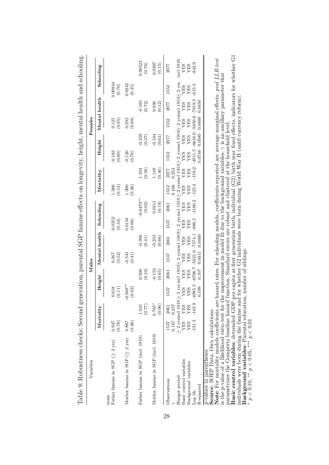| Tannes: Donardes: Citecks: Decond Senteranton, parementa Dorr annine einects on rongevity, neight, inementarinam and announg.                                                                                               |                                                                                                                                                                                                                                                                                    |                                                                                                       |                             |                    |                     |                       |                                |                                      |                    |                    |                   |                    |
|-----------------------------------------------------------------------------------------------------------------------------------------------------------------------------------------------------------------------------|------------------------------------------------------------------------------------------------------------------------------------------------------------------------------------------------------------------------------------------------------------------------------------|-------------------------------------------------------------------------------------------------------|-----------------------------|--------------------|---------------------|-----------------------|--------------------------------|--------------------------------------|--------------------|--------------------|-------------------|--------------------|
| Variables                                                                                                                                                                                                                   |                                                                                                                                                                                                                                                                                    |                                                                                                       | Males                       |                    |                     |                       |                                |                                      | Females            |                    |                   |                    |
|                                                                                                                                                                                                                             | Mortality                                                                                                                                                                                                                                                                          | Height                                                                                                |                             | Mental health      | Schooling           |                       | Mortality                      | Height                               |                    | Mental health      |                   | Schooling          |
| Father famine in SGP $(\geq 2~{\rm yrs})$<br>main                                                                                                                                                                           | (0.78)<br>0.947                                                                                                                                                                                                                                                                    | 0.618<br>(0.11)                                                                                       | (0.52)<br>0.367             |                    | $-0.0252$<br>(0.34) |                       | 1.386<br>(0.14)                | $-0.183$<br>(0.60)                   | 0.125<br>(0.85)    |                    | 0.00844<br>(0.70) |                    |
| Mother famine in SGP ( $\geq 2$ yrs)                                                                                                                                                                                        | (0.46)<br>0.867                                                                                                                                                                                                                                                                    | $-0.948**$<br>(0.02)                                                                                  | $-0.541$<br>(0.41)          |                    | 0.0134<br>(0.66)    |                       | (0.26)<br>1.300                | $-0.120$<br>(0.76)                   | 0.292<br>(0.69)    |                    | 0.0242<br>(0.35)  |                    |
| Father famine in SGP (incl. 1919)                                                                                                                                                                                           | (77)<br>1.041                                                                                                                                                                                                                                                                      | 0.506<br>(0.10)                                                                                       |                             | $-0.396$<br>(0.41) |                     | $-0.0470**$<br>(0.02) | (0.58)<br>1.104                |                                      | $-0.259$<br>(0.37) | $-0.185$<br>(0.72) |                   | 0.00522<br>(0.76)  |
| Mother famine in SGP (incl. 1919)                                                                                                                                                                                           | $0.765*$<br>(0.06)                                                                                                                                                                                                                                                                 | $-0.153$<br>(0.65)                                                                                    |                             | $-0.233$<br>(0.66) |                     | 0.0311<br>(0.19)      | (0.46)<br>1.149                |                                      | $-0.164$<br>(0.61) | 0.936<br>(0.12)    |                   | 0.0307<br>(0.15)   |
| Observations                                                                                                                                                                                                                | 0.257<br>2061<br>0.167<br>1537                                                                                                                                                                                                                                                     | 2061<br>1537                                                                                          | 1537                        | 2061               | 1537                | 2061                  | 0.253<br>2077<br>0.196<br>1552 | 1552                                 | 1552<br>2077       | 2077               | 1552              | 2077               |
| Hunger period                                                                                                                                                                                                               |                                                                                                                                                                                                                                                                                    |                                                                                                       |                             |                    |                     |                       |                                |                                      |                    |                    |                   | incl 1919          |
| Basic control variables<br>Background variables                                                                                                                                                                             | $\geq$ 2 yr<br>sind 1919 $\geq$ 2 yr<br>sind 1919 $\geq$ 2 yr<br>sind 1919 $\geq$ 2 yr<br>sind 1919<br>$\geq$ 2 yr<br>Sind 1919<br>$\geq$ 2 yr<br>Sind 1919<br>$\geq$ 2 yr<br>Sind 1919<br>$\geq$ 2 yr<br>Sind 1919<br>$\geq$ 2 yr<br>Sind XES YES YES YES YES YES YES YES YES YES |                                                                                                       |                             |                    |                     |                       |                                | <b>SHA<br/>SHA</b>                   |                    |                    |                   | <b>YES<br/>YES</b> |
| Log lik.                                                                                                                                                                                                                    | $-143.9$<br>$-131.3$                                                                                                                                                                                                                                                               | $-4985.5$                                                                                             | $-6706.7 - 5621.9 - 7574.1$ |                    | $-886.5$            | $-1160.2$             | $-158.2$<br>$-125.4$           | $-4911.5 - 6616.0 - 5850.6 - 7819.5$ |                    |                    | $-615.5$          | 842.9              |
| R-squared                                                                                                                                                                                                                   |                                                                                                                                                                                                                                                                                    | 0.107<br>0.109                                                                                        |                             | 0.0411 0.0460      |                     |                       |                                | 0.0746                               | 0.0460<br>0.0585   | 0.0450             |                   |                    |
| Note: For mortality models coefficients are hazard rates. For schooling models, coefficients reported are average marginal effects. <i>pool LLR-test</i><br>Source: SOEP Data. Own calculations.<br>p-values in parentheses |                                                                                                                                                                                                                                                                                    |                                                                                                       |                             |                    |                     |                       |                                |                                      |                    |                    |                   |                    |
| parametrize the Comporta baseline hazard function. Standard organe and relate and clustered at the household loyel<br>is the p-value of a likelihood ratio test for                                                         |                                                                                                                                                                                                                                                                                    | the improvement in model fit due to the background variables. $\gamma$ is an ancillary parameter that |                             |                    |                     |                       |                                |                                      |                    |                    |                   |                    |

ontol hoolth and cohooling Table 9: Robustness checks: Second generation, parental SGP famine effects on longevity, height, mental health and schooling.  $\frac{1}{2}$  $...$  $\sim 1$  $_{\rm{max}}$  CMD family affacts  $-11$ as alaceles: Casand  $T_{\alpha}$ bla $\alpha$ . Dabuata

parametrizes the Gompertz baseline hazard function. Standard errors are robust and clustered at the household level.

**Basic control variables**: detrended GDP per capita at first generation birth, individual (G2) birth year fixed effects, indicators for whether G1 individuals were born during the famine and for whether G2 individuals were born during World War II (until currency reform). parametrizes the Gompertz baseline hazard function. Standard errors are robust and clustered at the household level.<br>**Basic control variable**s: detrended GDP per capita at first generation birth, individual (G2) birth yea

**Background variables**: Parental education, number of siblings.

*p <* 0*.*10, *∗∗ p <* 0*.*05, *∗∗∗ p <* 0*.*01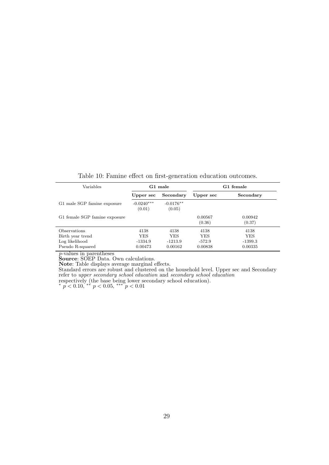Table 10: Famine effect on first-generation education outcomes.

| Variables                     |                        | G1 male               |                   | G1 female         |
|-------------------------------|------------------------|-----------------------|-------------------|-------------------|
|                               | Upper sec              | Secondary             | Upper sec         | Secondary         |
| G1 male SGP famine exposure   | $-0.0240***$<br>(0.01) | $-0.0176**$<br>(0.05) |                   |                   |
| G1 female SGP famine exposure |                        |                       | 0.00567<br>(0.36) | 0.00942<br>(0.37) |
| Observations                  | 4138                   | 4138                  | 4138              | 4138              |
| Birth year trend              | <b>YES</b>             | <b>YES</b>            | <b>YES</b>        | YES               |
| Log likelihood                | -1334.9                | $-1213.9$             | $-572.9$          | $-1399.3$         |
| Pseudo R-squared              | 0.00473                | 0.00162               | 0.00838           | 0.00335           |

*p*-values in parentheses

**Source**: SOEP Data. Own calculations.

**Note**: Table displays average marginal effects.

Standard errors are robust and clustered on the household level. Upper sec and Secondary refer to *upper secondary school education* and *secondary school education* respectively (the base being lower secondary school education).

*<sup>∗</sup> p <* 0*.*10, *∗∗ p <* 0*.*05, *∗∗∗ p <* 0*.*01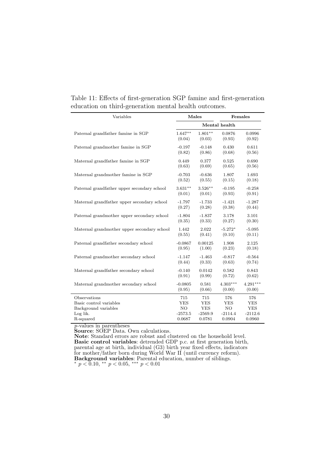| Variables                                   |           | Males      |               | Females    |
|---------------------------------------------|-----------|------------|---------------|------------|
|                                             |           |            | Mental health |            |
| Paternal grandfather famine in SGP          | $1.647**$ | $1.801**$  | 0.0876        | 0.0996     |
|                                             | (0.04)    | (0.03)     | (0.93)        | (0.92)     |
| Paternal grandmother famine in SGP          | $-0.197$  | $-0.148$   | 0.430         | 0.611      |
|                                             | (0.82)    | (0.86)     | (0.68)        | (0.56)     |
| Maternal grandfather famine in SGP          | 0.449     | 0.377      | 0.525         | 0.690      |
|                                             | (0.63)    | (0.69)     | (0.65)        | (0.56)     |
| Maternal grandmother famine in SGP          | $-0.703$  | $-0.636$   | 1.807         | 1.693      |
|                                             | (0.52)    | (0.55)     | (0.15)        | (0.18)     |
| Paternal grandfather upper secondary school | $3.631**$ | $3.526**$  | $-0.195$      | $-0.258$   |
|                                             | (0.01)    | (0.01)     | (0.93)        | (0.91)     |
| Maternal grandfather upper secondary school | $-1.797$  | $-1.733$   | $-1.421$      | $-1.287$   |
|                                             | (0.27)    | (0.28)     | (0.38)        | (0.44)     |
| Paternal grandmother upper secondary school | $-1.804$  | $-1.837$   | 3.178         | 3.101      |
|                                             | (0.35)    | (0.33)     | (0.27)        | (0.30)     |
| Maternal grandmother upper secondary school | 1.442     | 2.022      | $-5.272*$     | $-5.095$   |
|                                             | (0.55)    | (0.41)     | (0.10)        | (0.11)     |
| Paternal grandfather secondary school       | $-0.0867$ | 0.00125    | 1.908         | 2.125      |
|                                             | (0.95)    | (1.00)     | (0.23)        | (0.18)     |
| Paternal grandmother secondary school       | $-1.147$  | $-1.463$   | $-0.817$      | $-0.564$   |
|                                             | (0.44)    | (0.33)     | (0.63)        | (0.74)     |
| Maternal grandfather secondary school       | $-0.140$  | 0.0142     | 0.582         | 0.843      |
|                                             | (0.91)    | (0.99)     | (0.72)        | (0.62)     |
| Maternal grandmother secondary school       | $-0.0805$ | 0.581      | $4.303***$    | $4.291***$ |
|                                             | (0.95)    | (0.66)     | (0.00)        | (0.00)     |
| Observations                                | 715       | 715        | 576           | 576        |
| Basic control variables                     | YES       | <b>YES</b> | <b>YES</b>    | YES        |
| Background variables                        | NO        | <b>YES</b> | NO            | <b>YES</b> |
| Log lik.                                    | $-2573.5$ | $-2569.9$  | $-2114.4$     | $-2112.6$  |
| R-squared                                   | 0.0687    | 0.0781     | 0.0904        | 0.0960     |

Table 11: Effects of first-generation SGP famine and first-generation education on third-generation mental health outcomes.

*p*-values in parentheses

**Source**: SOEP Data. Own calculations.

**Note**: Standard errors are robust and clustered on the household level. **Basic control variables**: detrended GDP p.c. at first generation birth, parental age at birth, individual (G3) birth year fixed effects, indicators for mother/father born during World War II (until currency reform). **Background variables**: Parental education, number of siblings.

*<sup>∗</sup> p <* 0*.*10, *∗∗ p <* 0*.*05, *∗∗∗ p <* 0*.*01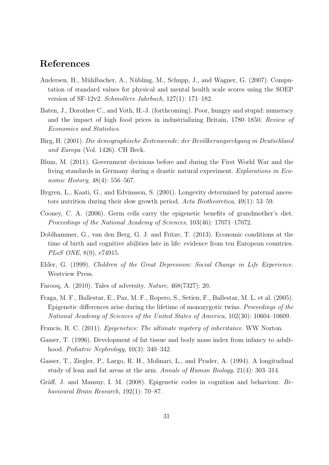# **References**

- Andersen, H., Mühlbacher, A., Nübling, M., Schupp, J., and Wagner, G. (2007). Computation of standard values for physical and mental health scale scores using the SOEP version of SF-12v2. *Schmollers Jahrbuch*, 127(1): 171–182.
- Baten, J., Dorothee C., and Voth, H.-J. (forthcoming). Poor, hungry and stupid: numeracy and the impact of high food prices in industrializing Britain, 1780–1850. *Review of Economics and Statistics*.
- Birg, H. (2001). *Die demographische Zeitenwende: der Bevölkerungsrckgang in Deutschland und Europa* (Vol. 1426). CH Beck.
- Blum, M. (2011). Government decisions before and during the First World War and the living standards in Germany during a drastic natural experiment. *Explorations in Economic History*, 48(4): 556–567.
- Bygren, L., Kaati, G., and Edvinsson, S. (2001). Longevity determined by paternal ancestors nutrition during their slow growth period. *Acta Biotheoretica*, 49(1): 53–59.
- Cooney, C. A. (2006). Germ cells carry the epigenetic benefits of grandmother's diet. *Proceedings of the National Academy of Sciences*, 103(46): 17071–17072.
- Doblhammer, G., van den Berg, G. J. and Fritze, T. (2013). Economic conditions at the time of birth and cognitive abilities late in life: evidence from ten European countries. *PLoS ONE*, 8(9), e74915.
- Elder, G. (1999). *Children of the Great Depression: Social Change in Life Experience*. Westview Press.
- Farooq, A. (2010). Tales of adversity. *Nature*, 468(7327): 20.
- Fraga, M. F., Ballestar, E., Paz, M. F., Ropero, S., Setien, F., Ballestar, M. L. et al. (2005). Epigenetic differences arise during the lifetime of monozygotic twins. *Proceedings of the National Academy of Sciences of the United States of America*, 102(30): 10604–10609.
- Francis, R. C. (2011). *Epigenetics: The ultimate mystery of inheritance.* WW Norton.
- Gasser, T. (1996). Development of fat tissue and body mass index from infancy to adulthood. *Pediatric Nephrology*, 10(3): 340–342.
- Gasser, T., Ziegler, P., Largo, R. H., Molinari, L., and Prader, A. (1994). A longitudinal study of lean and fat areas at the arm. *Annals of Human Biology*, 21(4): 303–314.
- Gräff, J. and Mansuy, I. M. (2008). Epigenetic codes in cognition and behaviour. *Behavioural Brain Research*, 192(1): 70–87.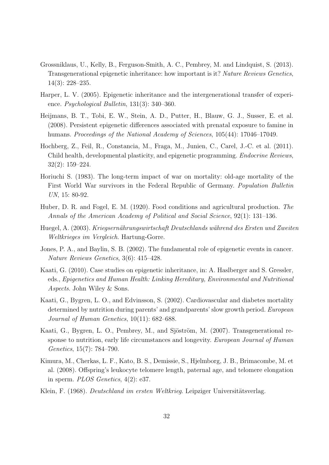- Grossniklaus, U., Kelly, B., Ferguson-Smith, A. C., Pembrey, M. and Lindquist, S. (2013). Transgenerational epigenetic inheritance: how important is it? *Nature Reviews Genetics*, 14(3): 228–235.
- Harper, L. V. (2005). Epigenetic inheritance and the intergenerational transfer of experience. *Psychological Bulletin*, 131(3): 340–360.
- Heijmans, B. T., Tobi, E. W., Stein, A. D., Putter, H., Blauw, G. J., Susser, E. et al. (2008). Persistent epigenetic differences associated with prenatal exposure to famine in humans. *Proceedings of the National Academy of Sciences*, 105(44): 17046–17049.
- Hochberg, Z., Feil, R., Constancia, M., Fraga, M., Junien, C., Carel, J.-C. et al. (2011). Child health, developmental plasticity, and epigenetic programming. *Endocrine Reviews*, 32(2): 159–224.
- Horiuchi S. (1983). The long-term impact of war on mortality: old-age mortality of the First World War survivors in the Federal Republic of Germany. *Population Bulletin UN*, 15: 80-92.
- Huber, D. R. and Fogel, E. M. (1920). Food conditions and agricultural production. *The Annals of the American Academy of Political and Social Science*, 92(1): 131–136.
- Huegel, A. (2003). *Kriegsernährungswirtschaft Deutschlands während des Ersten und Zweiten Weltkrieges im Vergleich*. Hartung-Gorre.
- Jones, P. A., and Baylin, S. B. (2002). The fundamental role of epigenetic events in cancer. *Nature Reviews Genetics*, 3(6): 415–428.
- Kaati, G. (2010). Case studies on epigenetic inheritance, in: A. Haslberger and S. Gressler, eds., *Epigenetics and Human Health: Linking Hereditary, Environmental and Nutritional Aspects*. John Wiley & Sons.
- Kaati, G., Bygren, L. O., and Edvinsson, S. (2002). Cardiovascular and diabetes mortality determined by nutrition during parents' and grandparents' slow growth period. *European Journal of Human Genetics*, 10(11): 682–688.
- Kaati, G., Bygren, L. O., Pembrey, M., and Sjöström, M. (2007). Transgenerational response to nutrition, early life circumstances and longevity. *European Journal of Human Genetics*, 15(7): 784–790.
- Kimura, M., Cherkas, L. F., Kato, B. S., Demissie, S., Hjelmborg, J. B., Brimacombe, M. et al. (2008). Offspring's leukocyte telomere length, paternal age, and telomere elongation in sperm. *PLOS Genetics*, 4(2): e37.
- Klein, F. (1968). *Deutschland im ersten Weltkrieg*. Leipziger Universitätsverlag.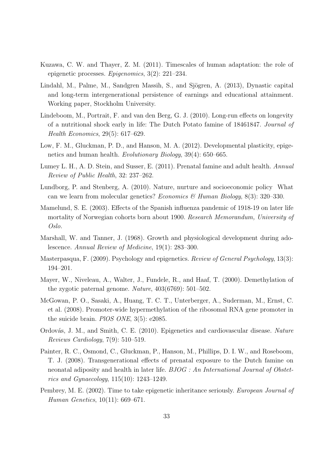- Kuzawa, C. W. and Thayer, Z. M. (2011). Timescales of human adaptation: the role of epigenetic processes. *Epigenomics*, 3(2): 221–234.
- Lindahl, M., Palme, M., Sandgren Massih, S., and Sjögren, A. (2013), Dynastic capital and long-term intergenerational persistence of earnings and educational attainment. Working paper, Stockholm University.
- Lindeboom, M., Portrait, F. and van den Berg, G. J. (2010). Long-run effects on longevity of a nutritional shock early in life: The Dutch Potato famine of 18461847. *Journal of Health Economics*, 29(5): 617–629.
- Low, F. M., Gluckman, P. D., and Hanson, M. A. (2012). Developmental plasticity, epigenetics and human health. *Evolutionary Biology*, 39(4): 650–665.
- Lumey L. H., A. D. Stein, and Susser, E. (2011). Prenatal famine and adult health. *Annual Review of Public Health*, 32: 237–262.
- Lundborg, P. and Stenberg, A. (2010). Nature, nurture and socioeconomic policy What can we learn from molecular genetics? *Economics & Human Biology*, 8(3): 320–330.
- Mamelund, S. E. (2003). Effects of the Spanish influenza pandemic of 1918-19 on later life mortality of Norwegian cohorts born about 1900. *Research Memorandum, University of Oslo.*
- Marshall, W. and Tanner, J. (1968). Growth and physiological development during adolescence. *Annual Review of Medicine*, 19(1): 283–300.
- Masterpasqua, F. (2009). Psychology and epigenetics. *Review of General Psychology*, 13(3): 194–201.
- Mayer, W., Niveleau, A., Walter, J., Fundele, R., and Haaf, T. (2000). Demethylation of the zygotic paternal genome. *Nature*, 403(6769): 501–502.
- McGowan, P. O., Sasaki, A., Huang, T. C. T., Unterberger, A., Suderman, M., Ernst, C. et al. (2008). Promoter-wide hypermethylation of the ribosomal RNA gene promoter in the suicide brain. *PlOS ONE*, 3(5): e2085.
- Ordov´as, J. M., and Smith, C. E. (2010). Epigenetics and cardiovascular disease. *Nature Reviews Cardiology*, 7(9): 510–519.
- Painter, R. C., Osmond, C., Gluckman, P., Hanson, M., Phillips, D. I. W., and Roseboom, T. J. (2008). Transgenerational effects of prenatal exposure to the Dutch famine on neonatal adiposity and health in later life. *BJOG : An International Journal of Obstetrics and Gynaecology*, 115(10): 1243–1249.
- Pembrey, M. E. (2002). Time to take epigenetic inheritance seriously. *European Journal of Human Genetics*, 10(11): 669–671.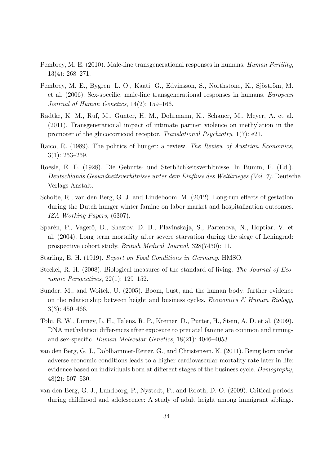- Pembrey, M. E. (2010). Male-line transgenerational responses in humans. *Human Fertility*, 13(4): 268–271.
- Pembrey, M. E., Bygren, L. O., Kaati, G., Edvinsson, S., Northstone, K., Sjöström, M. et al. (2006). Sex-specific, male-line transgenerational responses in humans. *European Journal of Human Genetics*, 14(2): 159–166.
- Radtke, K. M., Ruf, M., Gunter, H. M., Dohrmann, K., Schauer, M., Meyer, A. et al. (2011). Transgenerational impact of intimate partner violence on methylation in the promoter of the glucocorticoid receptor. *Translational Psychiatry*, 1(7): e21.
- Raico, R. (1989). The politics of hunger: a review. *The Review of Austrian Economics*, 3(1): 253–259.
- Roesle, E. E. (1928). Die Geburts- und Sterblichkeitsverhltnisse. In Bumm, F. (Ed.). *Deutschlands Gesundheitsverhltnisse unter dem Einfluss des Weltkrieges (Vol. 7)*. Deutsche Verlags-Anstalt.
- Scholte, R., van den Berg, G. J. and Lindeboom, M. (2012). Long-run effects of gestation during the Dutch hunger winter famine on labor market and hospitalization outcomes. *IZA Working Papers*, (6307).
- Sparén, P., Vagerö, D., Shestov, D. B., Plavinskaja, S., Parfenova, N., Hoptiar, V. et al. (2004). Long term mortality after severe starvation during the siege of Leningrad: prospective cohort study. *British Medical Journal*, 328(7430): 11.
- Starling, E. H. (1919). *Report on Food Conditions in Germany*. HMSO.
- Steckel, R. H. (2008). Biological measures of the standard of living. *The Journal of Economic Perspectives*, 22(1): 129–152.
- Sunder, M., and Woitek, U. (2005). Boom, bust, and the human body: further evidence on the relationship between height and business cycles. *Economics & Human Biology*, 3(3): 450–466.
- Tobi, E. W., Lumey, L. H., Talens, R. P., Kremer, D., Putter, H., Stein, A. D. et al. (2009). DNA methylation differences after exposure to prenatal famine are common and timingand sex-specific. *Human Molecular Genetics*, 18(21): 4046–4053.
- van den Berg, G. J., Doblhammer-Reiter, G., and Christensen, K. (2011). Being born under adverse economic conditions leads to a higher cardiovascular mortality rate later in life: evidence based on individuals born at different stages of the business cycle. *Demography*, 48(2): 507–530.
- van den Berg, G. J., Lundborg, P., Nystedt, P., and Rooth, D.-O. (2009). Critical periods during childhood and adolescence: A study of adult height among immigrant siblings.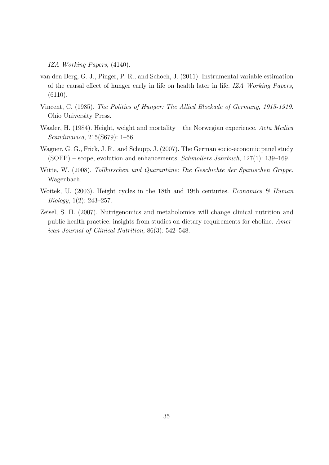*IZA Working Papers*, (4140).

- van den Berg, G. J., Pinger, P. R., and Schoch, J. (2011). Instrumental variable estimation of the causal effect of hunger early in life on health later in life. *IZA Working Papers*, (6110).
- Vincent, C. (1985). *The Politics of Hunger: The Allied Blockade of Germany, 1915-1919*. Ohio University Press.
- Waaler, H. (1984). Height, weight and mortality the Norwegian experience. *Acta Medica Scandinavica*, 215(S679): 1–56.
- Wagner, G. G., Frick, J. R., and Schupp, J. (2007). The German socio-economic panel study (SOEP) – scope, evolution and enhancements. *Schmollers Jahrbuch*, 127(1): 139–169.
- Witte, W. (2008). *Tollkirschen und Quarantäne: Die Geschichte der Spanischen Grippe.* Wagenbach.
- Woitek, U. (2003). Height cycles in the 18th and 19th centuries. *Economics & Human Biology*, 1(2): 243–257.
- Zeisel, S. H. (2007). Nutrigenomics and metabolomics will change clinical nutrition and public health practice: insights from studies on dietary requirements for choline. *American Journal of Clinical Nutrition*, 86(3): 542–548.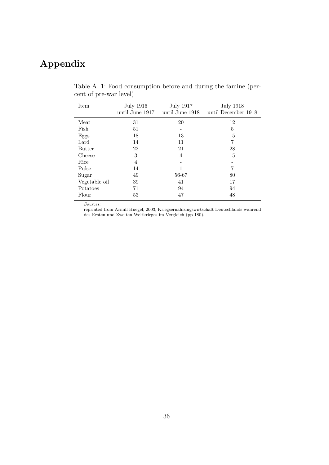# **Appendix**

| Item          | <b>July 1916</b><br>until June 1917 | <b>July 1917</b><br>until June 1918 | <b>July 1918</b><br>until December 1918 |
|---------------|-------------------------------------|-------------------------------------|-----------------------------------------|
| Meat          | 31                                  | 20                                  | 12                                      |
| Fish          | 51                                  |                                     | 5                                       |
| Eggs          | 18                                  | 13                                  | 15                                      |
| Lard          | 14                                  | 11                                  | 7                                       |
| <b>Butter</b> | 22                                  | 21                                  | 28                                      |
| Cheese        | 3                                   | $\overline{4}$                      | 15                                      |
| Rice          | $\overline{4}$                      |                                     |                                         |
| Pulse         | 14                                  |                                     | 7                                       |
| Sugar         | 49                                  | 56-67                               | 80                                      |
| Vegetable oil | 39                                  | 41                                  | 17                                      |
| Potatoes      | 71                                  | 94                                  | 94                                      |
| Flour         | 53                                  | 47                                  | 48                                      |

Table A. 1: Food consumption before and during the famine (percent of pre-war level)

*Sources:*

reprinted from Arnulf Huegel, 2003, Kriegsernährungswirtschaft Deutschlands während des Ersten und Zweiten Weltkrieges im Vergleich (pp 180).